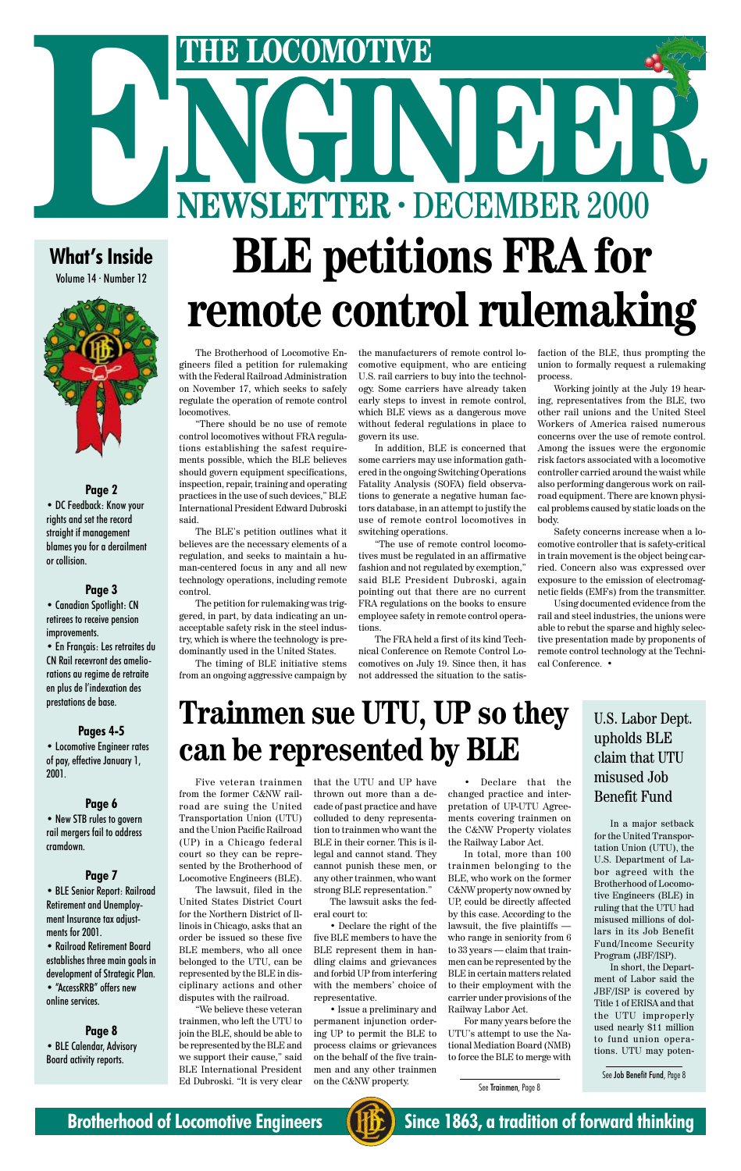### **What's Inside**

Volume 14 · Number 12



#### **Page 2**

• DC Feedback: Know your rights and set the record straight if management blames you for a derailment or collision.

#### **Page 3**

• New STB rules to govern rail mergers fail to address cramdown.

• Canadian Spotlight: CN retirees to receive pension improvements.

• En Français: Les retraites du CN Rail recevront des ameliorations au regime de retraite en plus de l'indexation des prestations de base.

# THE LOCOMOTIVE **THE LOCOMOTIVE BLE petitions FRA for remote control rulemaking**

#### **Pages 4-5**

• Locomotive Engineer rates of pay, effective January 1, 2001.

#### **Page 6**

#### **Page 7**

• BLE Senior Report: Railroad Retirement and Unemployment Insurance tax adjustments for 2001.

• Railroad Retirement Board establishes three main goals in development of Strategic Plan.

• "AccessRRB" offers new online services.

**Page 8** • BLE Calendar, Advisory Board activity reports.

The Brotherhood of Locomotive Engineers filed a petition for rulemaking with the Federal Railroad Administration on November 17, which seeks to safely regulate the operation of remote control locomotives.

"There should be no use of remote control locomotives without FRA regulations establishing the safest requirements possible, which the BLE believes should govern equipment specifications, inspection, repair, training and operating practices in the use of such devices," BLE International President Edward Dubroski said.

The BLE's petition outlines what it believes are the necessary elements of a regulation, and seeks to maintain a human-centered focus in any and all new technology operations, including remote control.

The petition for rulemaking was triggered, in part, by data indicating an unacceptable safety risk in the steel industry, which is where the technology is predominantly used in the United States.

The timing of BLE initiative stems from an ongoing aggressive campaign by the manufacturers of remote control locomotive equipment, who are enticing U.S. rail carriers to buy into the technology. Some carriers have already taken early steps to invest in remote control, which BLE views as a dangerous move without federal regulations in place to govern its use.

"We believe these veteran trainmen, who left the UTU to join the BLE, should be able to be represented by the BLE and we support their cause," said BLE International President Ed Dubroski. "It is very clear on the C&NW property.

In addition, BLE is concerned that some carriers may use information gathered in the ongoing Switching Operations Fatality Analysis (SOFA) field observations to generate a negative human factors database, in an attempt to justify the use of remote control locomotives in switching operations.

"The use of remote control locomotives must be regulated in an affirmative fashion and not regulated by exemption," said BLE President Dubroski, again pointing out that there are no current FRA regulations on the books to ensure employee safety in remote control operations.

The FRA held a first of its kind Technical Conference on Remote Control Locomotives on July 19. Since then, it has not addressed the situation to the satis-

faction of the BLE, thus prompting the union to formally request a rulemaking process.

Working jointly at the July 19 hearing, representatives from the BLE, two other rail unions and the United Steel Workers of America raised numerous concerns over the use of remote control. Among the issues were the ergonomic risk factors associated with a locomotive controller carried around the waist while also performing dangerous work on railroad equipment. There are known physical problems caused by static loads on the body.

Safety concerns increase when a locomotive controller that is safety-critical in train movement is the object being carried. Concern also was expressed over exposure to the emission of electromagnetic fields (EMFs) from the transmitter.

Using documented evidence from the rail and steel industries, the unions were able to rebut the sparse and highly selective presentation made by proponents of remote control technology at the Technical Conference. •

### U.S. Labor Dept. upholds BLE claim that UTU misused Job Benefit Fund

Five veteran trainmen from the former C&NW railroad are suing the United Transportation Union (UTU) and the Union Pacific Railroad (UP) in a Chicago federal court so they can be repre-

sented by the Brotherhood of Locomotive Engineers (BLE).

The lawsuit, filed in the United States District Court for the Northern District of Illinois in Chicago, asks that an order be issued so these five BLE members, who all once belonged to the UTU, can be represented by the BLE in disciplinary actions and other disputes with the railroad.

See Trainmen, Page 8



**Brotherhood of Locomotive Engineers (FFG) Since 1863, a tradition of forward thinking** 

# **Trainmen sue UTU, UP so they can be represented by BLE**

that the UTU and UP have thrown out more than a decade of past practice and have colluded to deny representation to trainmen who want the BLE in their corner. This is illegal and cannot stand. They

cannot punish these men, or any other trainmen, who want strong BLE representation." The lawsuit asks the fed-

eral court to:

• Declare the right of the five BLE members to have the BLE represent them in handling claims and grievances and forbid UP from interfering with the members' choice of representative.

• Issue a preliminary and permanent injunction ordering UP to permit the BLE to process claims or grievances on the behalf of the five trainmen and any other trainmen on the C&NW property.

• Declare that the changed practice and interpretation of UP-UTU Agreements covering trainmen on the C&NW Property violates the Railway Labor Act.

In total, more than 100 trainmen belonging to the BLE, who work on the former C&NW property now owned by UP, could be directly affected by this case. According to the lawsuit, the five plaintiffs who range in seniority from 6 to 33 years — claim that trainmen can be represented by the BLE in certain matters related to their employment with the carrier under provisions of the Railway Labor Act.

For many years before the UTU's attempt to use the National Mediation Board (NMB) to force the BLE to merge with

In a major setback for the United Transportation Union (UTU), the U.S. Department of Labor agreed with the Brotherhood of Locomotive Engineers (BLE) in ruling that the UTU had misused millions of dollars in its Job Benefit Fund/Income Security Program (JBF/ISP). In short, the Department of Labor said the JBF/ISP is covered by Title 1 of ERISA and that the UTU improperly used nearly \$11 million to fund union operations. UTU may poten-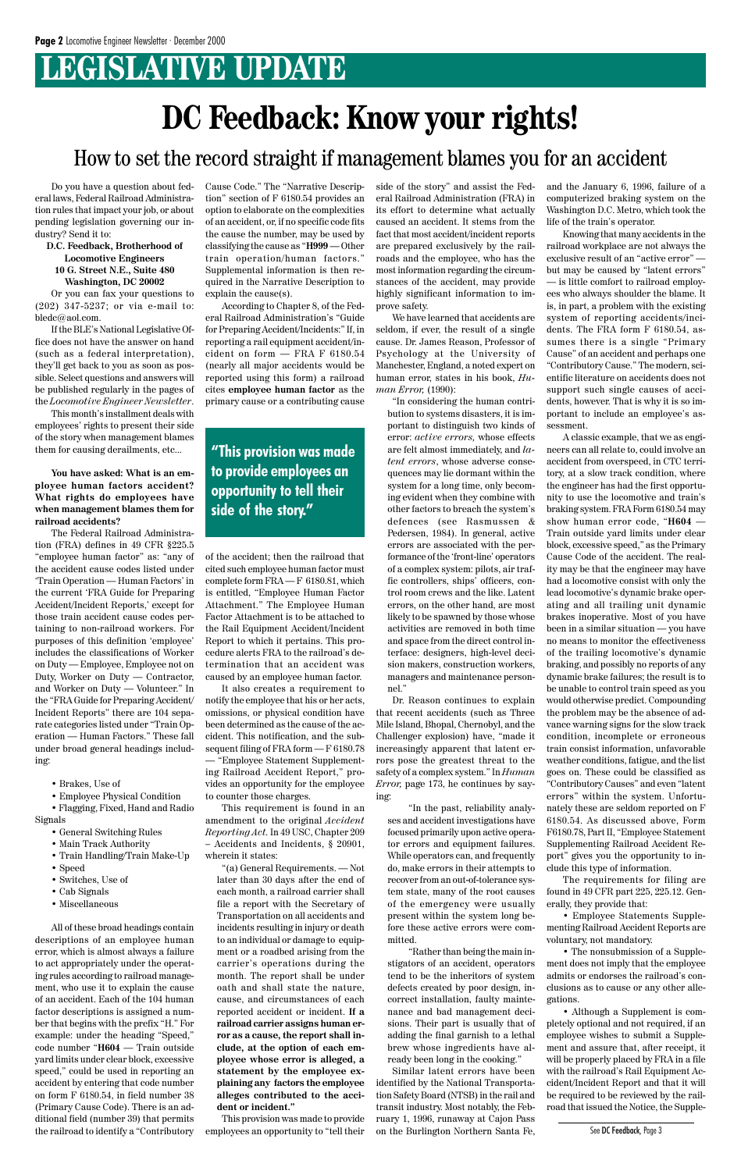# **LEGISLATIVE UPDATE**

# **DC Feedback: Know your rights!**

Do you have a question about federal laws, Federal Railroad Administration rules that impact your job, or about pending legislation governing our industry? Send it to:

**D.C. Feedback, Brotherhood of Locomotive Engineers 10 G. Street N.E., Suite 480 Washington, DC 20002**

Or you can fax your questions to (202) 347-5237; or via e-mail to: bledc@aol.com.

If the BLE's National Legislative Office does not have the answer on hand (such as a federal interpretation), they'll get back to you as soon as possible. Select questions and answers will be published regularly in the pages of the *Locomotive Engineer Newsletter*.

This month's installment deals with employees' rights to present their side of the story when management blames them for causing derailments, etc...

**You have asked: What is an employee human factors accident? What rights do employees have when management blames them for railroad accidents?**

The Federal Railroad Administration (FRA) defines in 49 CFR §225.5 "employee human factor" as: "any of the accident cause codes listed under 'Train Operation — Human Factors' in the current 'FRA Guide for Preparing Accident/Incident Reports,' except for those train accident cause codes pertaining to non-railroad workers. For purposes of this definition 'employee' includes the classifications of Worker on Duty — Employee, Employee not on Duty, Worker on Duty — Contractor, and Worker on Duty — Volunteer." In the "FRA Guide for Preparing Accident/ Incident Reports" there are 104 separate categories listed under "Train Operation — Human Factors." These fall under broad general headings including:

- Brakes, Use of
- Employee Physical Condition

• Flagging, Fixed, Hand and Radio Signals

- General Switching Rules
- Main Track Authority
- Train Handling/Train Make-Up

- Speed
- Switches, Use of
- Cab Signals
- Miscellaneous

All of these broad headings contain descriptions of an employee human error, which is almost always a failure to act appropriately under the operating rules according to railroad management, who use it to explain the cause of an accident. Each of the 104 human factor descriptions is assigned a number that begins with the prefix "H." For example: under the heading "Speed," code number "**H604** — Train outside yard limits under clear block, excessive speed," could be used in reporting an accident by entering that code number on form F 6180.54, in field number 38 (Primary Cause Code). There is an additional field (number 39) that permits the railroad to identify a "Contributory Cause Code." The "Narrative Description" section of F 6180.54 provides an option to elaborate on the complexities of an accident, or, if no specific code fits the cause the number, may be used by classifying the cause as "**H999 —** Other train operation/human factors." Supplemental information is then required in the Narrative Description to explain the cause(s).

According to Chapter 8, of the Federal Railroad Administration's "Guide for Preparing Accident/Incidents:" If, in reporting a rail equipment accident/incident on form — FRA F 6180.54 (nearly all major accidents would be reported using this form) a railroad cites **employee human factor** as the primary cause or a contributing cause

of the accident; then the railroad that cited such employee human factor must complete form FRA — F 6180.81, which is entitled, "Employee Human Factor Attachment." The Employee Human Factor Attachment is to be attached to the Rail Equipment Accident/Incident Report to which it pertains. This procedure alerts FRA to the railroad's determination that an accident was caused by an employee human factor.

It also creates a requirement to notify the employee that his or her acts, omissions, or physical condition have been determined as the cause of the accident. This notification, and the subsequent filing of FRA form — F 6180.78 — "Employee Statement Supplementing Railroad Accident Report," provides an opportunity for the employee to counter those charges.

This requirement is found in an amendment to the original *Accident Reporting Act.* In 49 USC, Chapter 209 – Accidents and Incidents, § 20901, wherein it states:

"(a) General Requirements. — Not later than 30 days after the end of each month, a railroad carrier shall file a report with the Secretary of Transportation on all accidents and incidents resulting in injury or death to an individual or damage to equipment or a roadbed arising from the carrier's operations during the month. The report shall be under oath and shall state the nature, cause, and circumstances of each reported accident or incident. **If a railroad carrier assigns human error as a cause, the report shall include, at the option of each employee whose error is alleged, a statement by the employee explaining any factors the employee alleges contributed to the accident or incident."**

This provision was made to provide employees an opportunity to "tell their side of the story" and assist the Federal Railroad Administration (FRA) in its effort to determine what actually caused an accident. It stems from the fact that most accident/incident reports are prepared exclusively by the railroads and the employee, who has the most information regarding the circumstances of the accident, may provide highly significant information to improve safety.

We have learned that accidents are seldom, if ever, the result of a single cause. Dr. James Reason, Professor of Psychology at the University of Manchester, England, a noted expert on human error, states in his book, *Human Error,* (1990):

"In considering the human contribution to systems disasters, it is important to distinguish two kinds of error: *active errors,* whose effects are felt almost immediately, and *latent errors*, whose adverse consequences may lie dormant within the system for a long time, only becoming evident when they combine with other factors to breach the system's defences (see Rasmussen & Pedersen, 1984). In general, active errors are associated with the performance of the 'front-line' operators of a complex system: pilots, air traffic controllers, ships' officers, control room crews and the like. Latent errors, on the other hand, are most likely to be spawned by those whose activities are removed in both time and space from the direct control interface: designers, high-level decision makers, construction workers, managers and maintenance personnel."

Dr. Reason continues to explain that recent accidents (such as Three Mile Island, Bhopal, Chernobyl, and the Challenger explosion) have, "made it increasingly apparent that latent errors pose the greatest threat to the safety of a complex system." In *Human Error,* page 173, he continues by saying:

"In the past, reliability analyses and accident investigations have focused primarily upon active operator errors and equipment failures. While operators can, and frequently do, make errors in their attempts to recover from an out-of-tolerance system state, many of the root causes of the emergency were usually present within the system long before these active errors were committed. "Rather than being the main instigators of an accident, operators tend to be the inheritors of system defects created by poor design, incorrect installation, faulty maintenance and bad management decisions. Their part is usually that of adding the final garnish to a lethal brew whose ingredients have already been long in the cooking." Similar latent errors have been identified by the National Transportation Safety Board (NTSB) in the rail and transit industry. Most notably, the February 1, 1996, runaway at Cajon Pass on the Burlington Northern Santa Fe,

and the January 6, 1996, failure of a computerized braking system on the Washington D.C. Metro, which took the life of the train's operator.

Knowing that many accidents in the railroad workplace are not always the exclusive result of an "active error" but may be caused by "latent errors" — is little comfort to railroad employees who always shoulder the blame. It is, in part, a problem with the existing system of reporting accidents/incidents. The FRA form F 6180.54, assumes there is a single "Primary Cause" of an accident and perhaps one "Contributory Cause." The modern, scientific literature on accidents does not support such single causes of accidents, however. That is why it is so important to include an employee's assessment.

A classic example, that we as engineers can all relate to, could involve an accident from overspeed, in CTC territory, at a slow track condition, where the engineer has had the first opportunity to use the locomotive and train's braking system. FRA Form 6180.54 may show human error code, "**H604** — Train outside yard limits under clear block, excessive speed," as the Primary Cause Code of the accident. The reality may be that the engineer may have had a locomotive consist with only the lead locomotive's dynamic brake operating and all trailing unit dynamic brakes inoperative. Most of you have been in a similar situation — you have no means to monitor the effectiveness of the trailing locomotive's dynamic braking, and possibly no reports of any dynamic brake failures; the result is to be unable to control train speed as you would otherwise predict. Compounding the problem may be the absence of advance warning signs for the slow track condition, incomplete or erroneous train consist information, unfavorable weather conditions, fatigue, and the list goes on. These could be classified as "Contributory Causes" and even "latent errors" within the system. Unfortunately these are seldom reported on F 6180.54. As discussed above, Form F6180.78, Part II, "Employee Statement Supplementing Railroad Accident Report" gives you the opportunity to include this type of information.

The requirements for filing are found in 49 CFR part 225, 225.12. Generally, they provide that:

• Employee Statements Supplementing Railroad Accident Reports are voluntary, not mandatory.

• The nonsubmission of a Supplement does not imply that the employee admits or endorses the railroad's conclusions as to cause or any other allegations.

• Although a Supplement is completely optional and not required, if an employee wishes to submit a Supplement and assure that, after receipt, it will be properly placed by FRA in a file with the railroad's Rail Equipment Accident/Incident Report and that it will be required to be reviewed by the railroad that issued the Notice, the Supple-

### How to set the record straight if management blames you for an accident

**"This provision was made to provide employees an opportunity to tell their side of the story."**

See DC Feedback, Page 3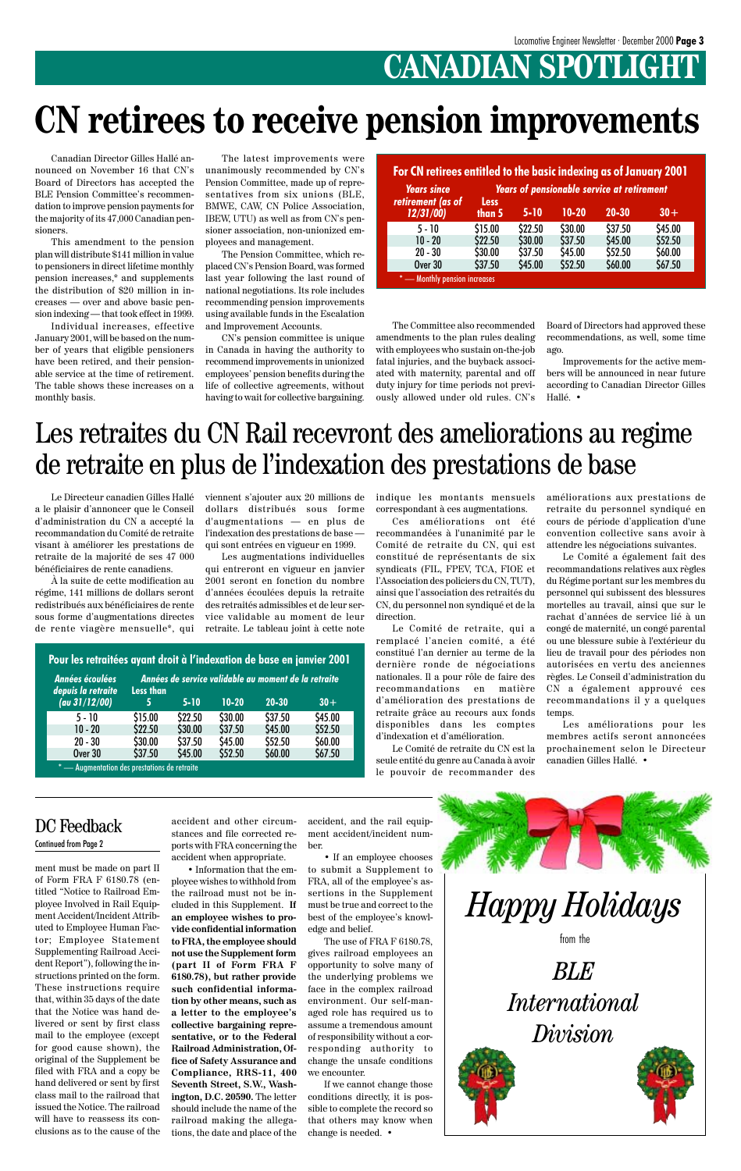# **CANADIAN SPOTLIGHT**

Canadian Director Gilles Hallé announced on November 16 that CN's Board of Directors has accepted the BLE Pension Committee's recommendation to improve pension payments for the majority of its 47,000 Canadian pensioners.

This amendment to the pension plan will distribute \$141 million in value to pensioners in direct lifetime monthly pension increases,\* and supplements the distribution of \$20 million in increases — over and above basic pension indexing — that took effect in 1999.

Individual increases, effective January 2001, will be based on the number of years that eligible pensioners have been retired, and their pensionable service at the time of retirement. The table shows these increases on a monthly basis.

The latest improvements were unanimously recommended by CN's Pension Committee, made up of representatives from six unions (BLE, BMWE, CAW, CN Police Association, IBEW, UTU) as well as from CN's pensioner association, non-unionized employees and management.

The Pension Committee, which replaced CN's Pension Board, was formed last year following the last round of national negotiations. Its role includes recommending pension improvements using available funds in the Escalation and Improvement Accounts.

CN's pension committee is unique in Canada in having the authority to recommend improvements in unionized employees' pension benefits during the life of collective agreements, without having to wait for collective bargaining.

The Committee also recommended amendments to the plan rules dealing with employees who sustain on-the-job fatal injuries, and the buyback associated with maternity, parental and off duty injury for time periods not previously allowed under old rules. CN's

Board of Directors had approved these recommendations, as well, some time ago.

Improvements for the active members will be announced in near future according to Canadian Director Gilles Hallé. •

# **CN retirees to receive pension improvements**

| For CN retirees entitled to the basic indexing as of January 2001 |                       |          |           |                                            |         |  |  |  |  |
|-------------------------------------------------------------------|-----------------------|----------|-----------|--------------------------------------------|---------|--|--|--|--|
| <b>Years since</b><br>retirement (as of                           |                       |          |           | Years of pensionable service at retirement |         |  |  |  |  |
| 12/31/00                                                          | <b>Less</b><br>than 5 | $5 - 10$ | $10 - 20$ | $20 - 30$                                  | $30+$   |  |  |  |  |
| $5 - 10$                                                          | \$15.00               | \$22.50  | \$30.00   | \$37.50                                    | \$45.00 |  |  |  |  |
| $10 - 20$                                                         | \$22.50               | \$30.00  | \$37.50   | \$45.00                                    | \$52.50 |  |  |  |  |
| $20 - 30$                                                         | \$30.00               | \$37.50  | \$45.00   | \$52.50                                    | \$60.00 |  |  |  |  |
| Over 30                                                           | \$37.50               | \$45.00  | \$52.50   | \$60.00                                    | \$67.50 |  |  |  |  |
| * - Monthly pension increases                                     |                       |          |           |                                            |         |  |  |  |  |

Le Directeur canadien Gilles Hallé a le plaisir d'annoncer que le Conseil d'administration du CN a accepté la recommandation du Comité de retraite visant à améliorer les prestations de retraite de la majorité de ses 47 000 bénéficiaires de rente canadiens.

À la suite de cette modification au régime, 141 millions de dollars seront redistribués aux bénéficiaires de rente sous forme d'augmentations directes de rente viagère mensuelle\*, qui viennent s'ajouter aux 20 millions de dollars distribués sous forme d'augmentations — en plus de l'indexation des prestations de base qui sont entrées en vigueur en 1999.

Les augmentations individuelles qui entreront en vigueur en janvier 2001 seront en fonction du nombre d'années écoulées depuis la retraite des retraités admissibles et de leur service validable au moment de leur retraite. Le tableau joint à cette note

indique les montants mensuels correspondant à ces augmentations.

Ces améliorations ont été recommandées à l'unanimité par le Comité de retraite du CN, qui est constitué de représentants de six syndicats (FIL, FPEV, TCA, FIOE et l'Association des policiers du CN, TUT), ainsi que l'association des retraités du CN, du personnel non syndiqué et de la direction.

Le Comité de retraite, qui a remplacé l'ancien comité, a été constitué l'an dernier au terme de la dernière ronde de négociations nationales. Il a pour rôle de faire des recommandations en matière d'amélioration des prestations de retraite grâce au recours aux fonds disponibles dans les comptes d'indexation et d'amélioration.

Le Comité de retraite du CN est la seule entité du genre au Canada à avoir le pouvoir de recommander des

améliorations aux prestations de retraite du personnel syndiqué en cours de période d'application d'une convention collective sans avoir à attendre les négociations suivantes.

Le Comité a également fait des recommandations relatives aux règles du Régime portant sur les membres du personnel qui subissent des blessures mortelles au travail, ainsi que sur le rachat d'années de service lié à un congé de maternité, un congé parental ou une blessure subie à l'extérieur du lieu de travail pour des périodes non autorisées en vertu des anciennes règles. Le Conseil d'administration du CN a également approuvé ces recommandations il y a quelques temps.

Les améliorations pour les membres actifs seront annoncées prochainement selon le Directeur canadien Gilles Hallé. •

### DC Feedback

# Les retraites du CN Rail recevront des ameliorations au regime de retraite en plus de l'indexation des prestations de base

 \$15.00 \$22.50 \$30.00 \$37.50

\$22.50 \$30.00 \$37.50 \$45.00

\$30.00 \$37.50 \$45.00 \$52.50 \$37.50 \$45.00 \$52.50 \$60.00

\$45.00 \$52.50 \$60.00 \$67.50

*Années écoulées depuis la retraite (au 31/12/00)*

**Less than**

**5 5-10 10-20 20-30 30+**

 *Années de service validable au moment de la retraite*

**Pour les retraitées ayant droit à l'indexation de base en janvier 2001**

\* — Augmentation des prestations de retraite

ment must be made on part II of Form FRA F 6180.78 (entitled "Notice to Railroad Employee Involved in Rail Equipment Accident/Incident Attributed to Employee Human Factor; Employee Statement Supplementing Railroad Accident Report"), following the instructions printed on the form. These instructions require that, within 35 days of the date that the Notice was hand delivered or sent by first class mail to the employee (except for good cause shown), the original of the Supplement be filed with FRA and a copy be hand delivered or sent by first class mail to the railroad that issued the Notice. The railroad will have to reassess its conclusions as to the cause of the

accident and other circumstances and file corrected reports with FRA concerning the ber. accident when appropriate.

• Information that the employee wishes to withhold from the railroad must not be included in this Supplement. **If an employee wishes to provide confidential information to FRA, the employee should not use the Supplement form (part II of Form FRA F 6180.78), but rather provide such confidential information by other means, such as a letter to the employee's collective bargaining representative, or to the Federal Railroad Administration, Office of Safety Assurance and Compliance, RRS-11, 400 Seventh Street, S.W., Washington, D.C. 20590.** The letter should include the name of the railroad making the allegations, the date and place of the

Continued from Page 2

accident, and the rail equipment accident/incident num-

• If an employee chooses



to submit a Supplement to FRA, all of the employee's assertions in the Supplement must be true and correct to the best of the employee's knowledge and belief.

The use of FRA F 6180.78, gives railroad employees an opportunity to solve many of the underlying problems we face in the complex railroad environment. Our self-managed role has required us to assume a tremendous amount of responsibility without a corresponding authority to change the unsafe conditions we encounter.

If we cannot change those conditions directly, it is possible to complete the record so that others may know when change is needed. •



# *Happy Holidays*

from the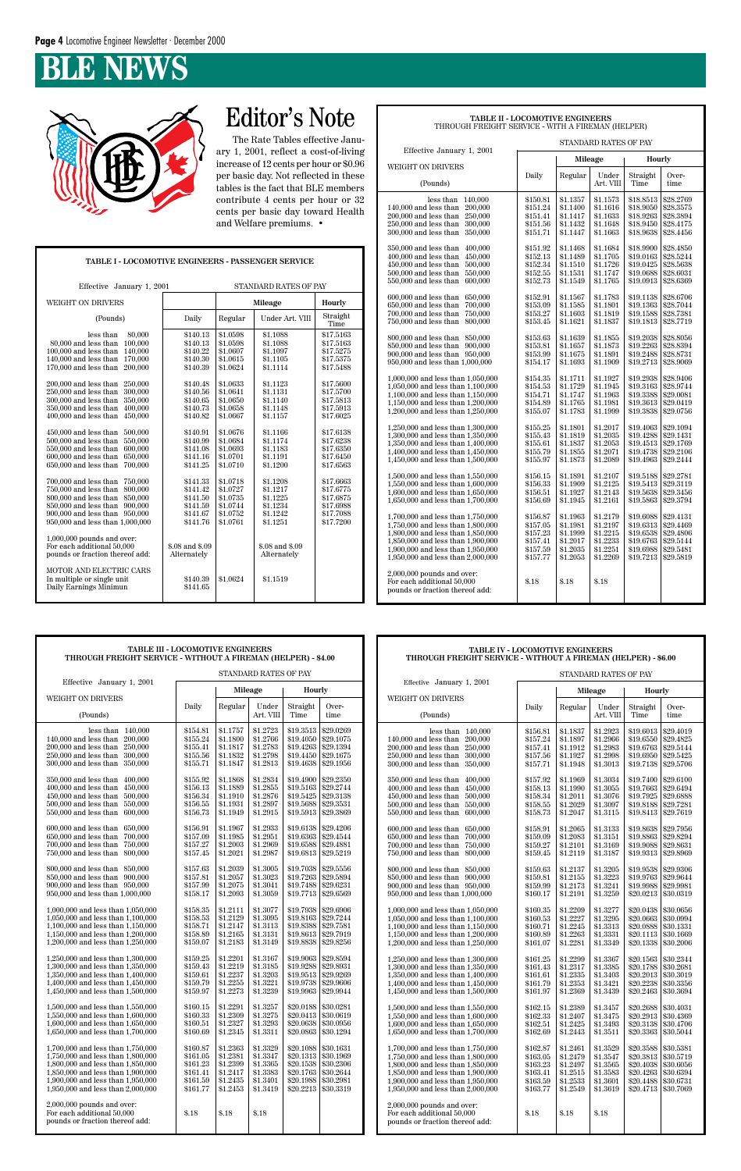| <b>TABLE III - LOCOMOTIVE ENGINEERS</b>                       |  |
|---------------------------------------------------------------|--|
| THROUGH FREIGHT SERVICE - WITHOUT A FIREMAN (HELPER) - \$4.00 |  |

| STANDARD RATES OF PAY<br>Effective January 1, 2001                                                                                                                                                                         |                                                                      |                                                                      |                                                                      |                                                                            |                                                                              |                                                                                                                                                                                                                            |                                                                      | STANDARD RATES OF PAY                                                |                                                                      |                                                                            |                                                                                          |
|----------------------------------------------------------------------------------------------------------------------------------------------------------------------------------------------------------------------------|----------------------------------------------------------------------|----------------------------------------------------------------------|----------------------------------------------------------------------|----------------------------------------------------------------------------|------------------------------------------------------------------------------|----------------------------------------------------------------------------------------------------------------------------------------------------------------------------------------------------------------------------|----------------------------------------------------------------------|----------------------------------------------------------------------|----------------------------------------------------------------------|----------------------------------------------------------------------------|------------------------------------------------------------------------------------------|
|                                                                                                                                                                                                                            |                                                                      | Mileage                                                              |                                                                      | Hourly                                                                     |                                                                              | Effective January 1, 2001                                                                                                                                                                                                  |                                                                      |                                                                      | Mileage                                                              | Hourly                                                                     |                                                                                          |
| WEIGHT ON DRIVERS<br>(Pounds)                                                                                                                                                                                              | Daily                                                                | Regular                                                              | Under<br>Art. VIII                                                   | Straight<br>Time                                                           | Over-<br>time                                                                | WEIGHT ON DRIVERS<br>(Pounds)                                                                                                                                                                                              | Daily                                                                | Regular                                                              | Under<br>Art. VIII                                                   | Straight<br>Time                                                           | Over-<br>time                                                                            |
| less than 140,000<br>140,000 and less than 200,000<br>200,000 and less than<br>250,000<br>300,000<br>250,000 and less than<br>300,000 and less than 350,000                                                                | \$154.81<br>\$155.24<br>\$155.41<br>\$155.56<br>\$155.71             | \$1.1757<br>\$1.1800<br>\$1.1817<br>\$1.1832<br>\$1.1847             | \$1.2723<br>\$1.2766<br>\$1.2783<br>\$1.2798<br>\$1.2813             | \$19.3513<br>\$19.4050<br>\$19.4263<br>\$19.4450<br>\$19.4638              | \$29.0269<br>\$29.1075<br>\$29.1394<br>\$29.1675<br>\$29.1956                | less than 140,000<br>140,000 and less than 200,000<br>200,000 and less than 250,000<br>250,000 and less than 300,000<br>300,000 and less than 350,000                                                                      | \$156.81<br>\$157.24<br>\$157.41<br>\$157.56<br>\$157.71             | \$1.1837<br>\$1.1897<br>\$1.1912<br>\$1.1927<br>\$1.1948             | \$1.2923<br>\$1.2966<br>\$1.2983<br>\$1.2998<br>\$1.3013             | \$19.6013<br>\$19.6550<br>\$19.6763<br>\$19.6950<br>\$19.7138              | \$29.4019<br>\$29.4825<br>\$29.5144<br>\$29.5425<br>\$29.5706                            |
| 350,000 and less than 400,000<br>$400,000$ and less than<br>450,000<br>450,000 and less than<br>500,000<br>550,000<br>500,000 and less than<br>550,000 and less than 600,000                                               | \$155.92<br>\$156.13<br>\$156.34<br>\$156.55<br>\$156.73             | \$1.1868<br>\$1.1889<br>\$1.1910<br>\$1.1931<br>\$1.1949             | \$1.2834<br>\$1.2855<br>\$1.2876<br>\$1.2897<br>\$1.2915             | \$19.4900<br>\$19.5163<br>\$19.5425<br>\$19.5688                           | \$29.2350<br>\$29.2744<br>\$29.3138<br>\$29.3531<br>$$19.5913 \mid $29.3869$ | 350,000 and less than 400,000<br>400,000 and less than 450,000<br>450,000 and less than 500,000<br>500,000 and less than 550,000<br>550,000 and less than 600,000                                                          | \$157.92<br>\$158.13<br>\$158.34<br>\$158.55<br>\$158.73             | \$1.1969<br>\$1.1990<br>\$1.2011<br>\$1.2029<br>\$1.2047             | \$1.3034<br>\$1.3055<br>\$1.3076<br>\$1.3097<br>\$1.3115             | \$19.7663<br>\$19.7925<br>\$19.8188                                        | $$19.7400 \mid $29.6100$<br>\$29.6494<br>\$29.6888<br>\$29.7281<br>\$19.8413   \$29.7619 |
| 600,000 and less than 650,000<br>650,000 and less than<br>700,000<br>750,000<br>700,000 and less than<br>750,000 and less than<br>800,000                                                                                  | \$156.91<br>\$157.09<br>\$157.27<br>\$157.45                         | \$1.1967<br>\$1.1985<br>\$1.2003<br>\$1.2021                         | \$1.2933<br>\$1.2951<br>\$1.2969<br>\$1.2987                         | \$19.6138<br>\$19.6363<br>\$19.6588<br>\$19.6813                           | \$29.4206<br>\$29.4544<br>\$29.4881<br>  \$29.5219                           | 600,000 and less than 650,000<br>650,000 and less than 700,000<br>700,000 and less than 750,000<br>750,000 and less than 800,000                                                                                           | \$158.91<br>\$159.09<br>\$159.27<br>\$159.45                         | \$1.2065<br>\$1.2083<br>\$1.2101<br>\$1.2119                         | \$1.3133<br>\$1.3151<br>\$1.3169<br>\$1.3187                         | \$19.8638<br>\$19.8863<br>\$19.9088<br>\$19.9313                           | \$29.7956<br>\$29.8294<br>\$29.8631<br>\$29.8969                                         |
| 800,000 and less than 850,000<br>850,000 and less than 900,000<br>900,000 and less than 950,000<br>950,000 and less than 1,000,000                                                                                         | \$157.63<br>\$157.81<br>\$157.99<br>\$158.17                         | \$1.2039<br>\$1.2057<br>\$1.2075<br>\$1.2093                         | \$1.3005<br>\$1.3023<br>\$1.3041<br>\$1.3059                         | \$19.7038<br>\$19.7263<br>\$19.7488<br>\$19.7713                           | \$29.5556<br>\$29,5894<br>\$29.6231<br>\$29.6569                             | 800,000 and less than 850,000<br>850,000 and less than 900,000<br>900,000 and less than 950,000<br>950,000 and less than 1,000,000                                                                                         | \$159.63<br>\$159.81<br>\$159.99<br>\$160.17                         | \$1.2137<br>\$1.2155<br>\$1.2173<br>\$1.2191                         | \$1.3205<br>\$1.3223<br>\$1.3241<br>\$1.3259                         | \$19.9538<br>\$19.9763<br>\$19.9988<br>\$20.0213                           | \$29.9306<br>\$29.9644<br>\$29.9981<br>\$30.0319                                         |
| 1,000,000 and less than 1,050,000<br>1,050,000 and less than 1,100,000<br>1,100,000 and less than 1,150,000<br>1,150,000 and less than 1,200,000<br>1,200,000 and less than 1,250,000                                      | \$158.35<br>\$158.53<br>\$158.71<br>\$158.89<br>\$159.07             | \$1.2111<br>\$1.2129<br>\$1.2147<br>\$1.2165<br>\$1.2183             | \$1.3077<br>\$1.3095<br>\$1.3113<br>\$1.3131<br>\$1.3149             | \$19.7938<br>\$19.8163<br>\$19.8388<br>\$19.8613<br>\$19.8838              | \$29.6906<br>\$29.7244<br>\$29.7581<br>\$29.7919<br>\$29.8256                | 1,000,000 and less than 1,050,000<br>1,050,000 and less than 1,100,000<br>1,100,000 and less than 1,150,000<br>1,150,000 and less than 1,200,000<br>1,200,000 and less than 1,250,000                                      | \$160.35<br>\$160.53<br>\$160.71<br>\$160.89<br>\$161.07             | \$1.2209<br>\$1.2227<br>\$1.2245<br>\$1.2263<br>\$1.2281             | \$1.3277<br>\$1.3295<br>\$1.3313<br>\$1.3331<br>\$1.3349             | \$20.0438<br>\$20.0663<br>\$20.0888<br>\$20.1113<br>\$20.1338              | \$30.0656<br>\$30.0994<br>\$30.1331<br>\$30.1669<br>\$30,2006                            |
| 1,250,000 and less than 1,300,000<br>1,300,000 and less than 1,350,000<br>1,350,000 and less than 1,400,000<br>$1,\!400,\!000$ and less than $1,\!450,\!000$<br>1,450,000 and less than 1,500,000                          | \$159.25<br>\$159.43<br>\$159.61<br>\$159.79<br>\$159.97             | \$1.2201<br>\$1.2219<br>\$1.2237<br>\$1.2255<br>\$1.2273             | \$1.3167<br>\$1.3185<br>\$1.3203<br>\$1.3221<br>\$1.3239             | \$19.9063<br>\$19.9288<br>\$19.9513<br>\$19.9738<br>\$19.9963              | \$29.8594<br>\$29.8931<br>\$29.9269<br>\$29.9606<br>\$29.9944                | 1,250,000 and less than 1,300,000<br>1.300,000 and less than 1.350,000<br>1,350,000 and less than 1,400,000<br>1,400,000 and less than 1,450,000<br>1,450,000 and less than 1,500,000                                      | \$161.25<br>\$161.43<br>\$161.61<br>\$161.79<br>\$161.97             | \$1.2299<br>\$1.2317<br>\$1.2335<br>\$1.2353<br>\$1.2369             | \$1.3367<br>\$1.3385<br>\$1.3403<br>\$1.3421<br>\$1.3439             | \$20.1788<br>\$20.2013<br>\$20.2238<br>\$20.2463                           | $$20.1563 \mid $30.2344$<br>\$30.2681<br>\$30.3019<br>\$30.3356<br>\$30.3694             |
| 1,500,000 and less than 1,550,000<br>1,550,000 and less than 1,600,000<br>1,600,000 and less than 1,650,000<br>1,650,000 and less than 1,700,000                                                                           | \$160.15<br>\$160.33<br>\$160.51<br>\$160.69                         | \$1.2291<br>\$1.2309<br>\$1.2327<br>\$1.2345                         | \$1.3257<br>\$1.3275<br>\$1.3293<br>\$1.3311                         | \$20.0188<br>\$20.0413<br>\$20.0638<br>\$20.0863                           | \$30.0281<br>\$30.0619<br>\$30.0956<br>\$30.1294                             | 1,500,000 and less than 1,550,000<br>1,550,000 and less than 1,600,000<br>1,600,000 and less than 1,650,000<br>1,650,000 and less than 1,700,000                                                                           | \$162.15<br>\$162.33<br>\$162.51<br>\$162.69                         | \$1.2389<br>\$1.2407<br>\$1.2425<br>\$1.2443                         | \$1.3457<br>\$1.3475<br>\$1.3493<br>\$1.3511                         | \$20.2688<br>\$20.3138<br>\$20.3363                                        | \$30.4031<br>\$20.2913 \$30.4369<br>\$30.4706<br>\$30.5044                               |
| 1,700,000 and less than 1,750,000<br>1,750,000 and less than 1,800,000<br>1,800,000 and less than 1,850,000<br>1,850,000 and less than 1,900,000<br>1,900,000 and less than 1,950,000<br>1,950,000 and less than 2,000,000 | \$160.87<br>\$161.05<br>\$161.23<br>\$161.41<br>\$161.59<br>\$161.77 | \$1.2363<br>\$1.2381<br>\$1.2399<br>\$1.2417<br>\$1.2435<br>\$1.2453 | \$1.3329<br>\$1.3347<br>\$1.3365<br>\$1.3383<br>\$1.3401<br>\$1.3419 | \$20.1088<br>\$20.1313<br>\$20.1538<br>\$20.1763<br>\$20.1988<br>\$20.2213 | \$30.1631<br>\$30.1969<br>\$30.2306<br>\$30.2644<br>\$30.2981<br>\$30.3319   | 1,700,000 and less than 1,750,000<br>1,750,000 and less than 1,800,000<br>1,800,000 and less than 1,850,000<br>1,850,000 and less than 1,900,000<br>1,900,000 and less than 1,950,000<br>1,950,000 and less than 2,000,000 | \$162.87<br>\$163.05<br>\$163.23<br>\$163.41<br>\$163.59<br>\$163.77 | \$1.2461<br>\$1.2479<br>\$1.2497<br>\$1.2515<br>\$1.2533<br>\$1.2549 | \$1.3529<br>\$1.3547<br>\$1.3565<br>\$1.3583<br>\$1.3601<br>\$1.3619 | \$20.3588<br>\$20.3813<br>\$20.4038<br>\$20.4263<br>\$20.4488<br>\$20.4713 | \$30.5381<br>\$30.5719<br>\$30.6056<br>\$30.6394<br>\$30.6731<br>\$30.7069               |
| $2,000,000$ pounds and over:<br>For each additional 50,000<br>pounds or fraction thereof add:                                                                                                                              | \$.18                                                                | \$.18                                                                | \$.18                                                                |                                                                            |                                                                              | $2,000,000$ pounds and over:<br>For each additional 50,000<br>pounds or fraction thereof add:                                                                                                                              | \$.18                                                                | \$.18                                                                | \$.18                                                                |                                                                            |                                                                                          |

#### **TABLE IV - LOCOMOTIVE ENGINEERS THROUGH FREIGHT SERVICE - WITHOUT A FIREMAN (HELPER) - \$6.00**

| Effective January 1, 2001                                                                                                                                                                                                  |                                                                      |                                                                      | STANDARD RATES OF PAY                                                |                                                               |                                                                                                           | Effective January 1, 2001                                                                                                                                                                                                  |                                                                      |                                                                      | STANDARD RATES OF PAY                                                |                                                                            |                                                                            |
|----------------------------------------------------------------------------------------------------------------------------------------------------------------------------------------------------------------------------|----------------------------------------------------------------------|----------------------------------------------------------------------|----------------------------------------------------------------------|---------------------------------------------------------------|-----------------------------------------------------------------------------------------------------------|----------------------------------------------------------------------------------------------------------------------------------------------------------------------------------------------------------------------------|----------------------------------------------------------------------|----------------------------------------------------------------------|----------------------------------------------------------------------|----------------------------------------------------------------------------|----------------------------------------------------------------------------|
|                                                                                                                                                                                                                            |                                                                      | Mileage                                                              |                                                                      | Hourly                                                        |                                                                                                           |                                                                                                                                                                                                                            |                                                                      |                                                                      | Mileage                                                              | Hourly                                                                     |                                                                            |
| WEIGHT ON DRIVERS<br>(Pounds)                                                                                                                                                                                              | Daily                                                                | Regular                                                              | Under<br>Art. VIII                                                   | Straight<br>Time                                              | Over-<br>time                                                                                             | WEIGHT ON DRIVERS<br>(Pounds)                                                                                                                                                                                              | Daily                                                                | Regular                                                              | Under<br>Art. VIII                                                   | Straight<br>Time                                                           | Over-<br>time                                                              |
| less than $140,000$<br>140,000 and less than<br>200,000<br>200,000 and less than<br>250,000<br>250,000 and less than<br>300,000<br>300,000 and less than<br>350,000                                                        | \$154.81<br>\$155.24<br>\$155.41<br>\$155.56<br>\$155.71             | \$1.1757<br>\$1.1800<br>\$1.1817<br>\$1.1832<br>\$1.1847             | \$1.2723<br>\$1.2766<br>\$1.2783<br>\$1.2798<br>\$1.2813             | \$19.3513<br>\$19.4050<br>\$19.4263<br>\$19.4450              | \$29.0269<br>\$29.1075<br>\$29.1394<br>\$29.1675<br>$$19.4638$ $$29.1956$                                 | less than $140,000$<br>140,000 and less than 200,000<br>200,000 and less than 250,000<br>250,000 and less than 300,000<br>300,000 and less than 350,000                                                                    | \$156.81<br>\$157.24<br>\$157.41<br>\$157.56<br>\$157.71             | \$1.1837<br>\$1.1897<br>\$1.1912<br>\$1.1927<br>\$1.1948             | \$1.2923<br>\$1.2966<br>\$1.2983<br>\$1.2998<br>\$1.3013             | \$19.6013<br>\$19.6550<br>\$19.6763<br>\$19.6950<br>\$19.7138              | \$29.4019<br>\$29.4825<br>\$29.5144<br>\$29.5425<br>\$29.5706              |
| 350,000 and less than 400,000<br>450,000<br>400,000 and less than<br>500,000<br>$450,000$ and less than<br>500,000 and less than 550,000<br>550,000 and less than<br>600,000                                               | \$155.92<br>\$156.13<br>\$156.34<br>\$156.55<br>\$156.73             | \$1.1868<br>\$1.1889<br>\$1.1910<br>\$1.1931<br>\$1.1949             | \$1.2834<br>\$1.2855<br>\$1.2876<br>\$1.2897<br>\$1.2915             | \$19.4900<br>\$19.5163<br>\$19.5425<br>\$19.5688              | \$29,2350<br>\$29.2744<br>\$29.3138<br>\$29.3531<br>$$19.5913 \mid $29.3869$                              | 350,000 and less than 400,000<br>400,000 and less than 450,000<br>450,000 and less than 500,000<br>500,000 and less than 550,000<br>550,000 and less than 600,000                                                          | \$157.92<br>\$158.13<br>\$158.34<br>\$158.55<br>\$158.73             | \$1.1969<br>\$1.1990<br>\$1.2011<br>\$1.2029<br>\$1.2047             | \$1.3034<br>\$1.3055<br>\$1.3076<br>\$1.3097<br>\$1.3115             | \$19.7400<br>\$19.7663<br>\$19.7925<br>\$19.8188<br>\$19.8413              | \$29.6100<br>\$29.6494<br>\$29.6888<br>\$29.7281<br>\$29.7619              |
| 600,000 and less than 650,000<br>650,000 and less than<br>700,000<br>750,000<br>700,000 and less than<br>750,000 and less than 800,000                                                                                     | \$156.91<br>\$157.09<br>\$157.27<br>\$157.45                         | \$1.1967<br>\$1.1985<br>\$1.2003<br>\$1.2021                         | \$1.2933<br>\$1.2951<br>\$1.2969<br>\$1.2987                         | \$19.6138<br>\$19.6363<br>\$19.6588                           | \$29.4206<br>\$29,4544<br>\$29.4881<br>$$19.6813 \mid $29.5219$                                           | 600,000 and less than 650,000<br>650,000 and less than 700,000<br>700,000 and less than 750,000<br>750,000 and less than 800,000                                                                                           | \$158.91<br>\$159.09<br>\$159.27<br>\$159.45                         | \$1.2065<br>\$1.2083<br>\$1.2101<br>\$1.2119                         | \$1.3133<br>\$1.3151<br>\$1.3169<br>\$1.3187                         | \$19.8638<br>\$19.8863<br>\$19,9088<br>\$19.9313                           | \$29.7956<br>\$29.8294<br>\$29.8631<br>\$29.8969                           |
| 800,000 and less than 850,000<br>850,000 and less than 900,000<br>900,000 and less than 950,000<br>950,000 and less than 1,000,000                                                                                         | \$157.63<br>\$157.81<br>\$157.99<br>\$158.17                         | \$1.2039<br>\$1.2057<br>\$1.2075<br>\$1.2093                         | \$1.3005<br>\$1.3023<br>\$1.3041<br>\$1.3059                         | \$19.7038<br>\$19.7263<br>\$19.7488                           | \$29.5556<br>\$29.5894<br>\$29.6231<br>$$19.7713 \mid $29.6569$                                           | 800,000 and less than 850,000<br>850,000 and less than 900,000<br>900,000 and less than 950,000<br>950,000 and less than 1,000,000                                                                                         | \$159.63<br>\$159.81<br>\$159.99<br>\$160.17                         | \$1.2137<br>\$1.2155<br>\$1.2173<br>\$1.2191                         | \$1.3205<br>\$1.3223<br>\$1.3241<br>\$1.3259                         | \$19.9538<br>\$19.9763<br>\$19.9988<br>\$20.0213                           | \$29.9306<br>\$29.9644<br>\$29.9981<br>\$30.0319                           |
| 1,000,000 and less than 1,050,000<br>$1,050,000$ and less than $1,100,000$<br>$1.100,000$ and less than $1.150,000$<br>1,150,000 and less than $1,200,000$<br>1,200,000 and less than 1,250,000                            | \$158.35<br>\$158.53<br>\$158.71<br>\$158.89<br>\$159.07             | \$1.2111<br>\$1.2129<br>\$1.2147<br>\$1.2165<br>\$1.2183             | \$1.3077<br>\$1.3095<br>\$1.3113<br>\$1.3131<br>\$1.3149             | \$19.7938<br>\$19.8163<br>\$19.8388<br>\$19.8613              | \$29.6906<br>\$29.7244<br>\$29.7581<br>\$29.7919<br>\$19.8838   \$29.8256                                 | 1,000,000 and less than 1,050,000<br>1,050,000 and less than 1,100,000<br>1,100,000 and less than 1,150,000<br>1,150,000 and less than 1,200,000<br>1,200,000 and less than 1,250,000                                      | \$160.35<br>\$160.53<br>\$160.71<br>\$160.89<br>\$161.07             | \$1.2209<br>\$1.2227<br>\$1.2245<br>\$1.2263<br>\$1.2281             | \$1.3277<br>\$1.3295<br>\$1.3313<br>\$1.3331<br>\$1.3349             | \$20.0438<br>\$20.0663<br>\$20.0888<br>\$20.1113<br>\$20.1338              | \$30.0656<br>\$30.0994<br>\$30.1331<br>\$30.1669<br>\$30,2006              |
| 1,250,000 and less than 1,300,000<br>1,300,000 and less than 1,350,000<br>1,350,000 and less than 1,400,000<br>1,400,000 and less than 1,450,000<br>1,450,000 and less than 1,500,000                                      | \$159.25<br>\$159.43<br>\$159.61<br>\$159.79<br>\$159.97             | \$1.2201<br>\$1.2219<br>\$1,2237<br>\$1.2255<br>\$1.2273             | \$1.3167<br>\$1.3185<br>\$1.3203<br>\$1.3221<br>\$1.3239             | \$19.9063<br>\$19.9288<br>\$19.9513<br>\$19.9738<br>\$19.9963 | \$29.8594<br>\$29.8931<br> \$29.9269<br>\$29.9606<br>\$29.9944                                            | 1,250,000 and less than 1,300,000<br>1,300,000 and less than 1,350,000<br>1,350,000 and less than 1,400,000<br>1,400,000 and less than 1,450,000<br>1,450,000 and less than 1,500,000                                      | \$161.25<br>\$161.43<br>\$161.61<br>\$161.79<br>\$161.97             | \$1.2299<br>\$1.2317<br>\$1.2335<br>\$1.2353<br>\$1.2369             | \$1.3367<br>\$1.3385<br>\$1.3403<br>\$1.3421<br>\$1.3439             | \$20.1563<br>\$20.1788<br>\$20.2013<br>\$20.2238<br>\$20.2463              | \$30.2344<br>\$30.2681<br>\$30.3019<br>\$30.3356<br>\$30.3694              |
| 1,500,000 and less than 1,550,000<br>1,550,000 and less than 1,600,000<br>1,600,000 and less than 1,650,000<br>1,650,000 and less than 1,700,000                                                                           | \$160.15<br>\$160.33<br>\$160.51<br>\$160.69                         | \$1.2291<br>\$1.2309<br>\$1.2327<br>\$1.2345                         | \$1.3257<br>\$1.3275<br>\$1.3293<br>\$1.3311                         | \$20.0188<br>\$20.0413<br>\$20.0863                           | \$30.0281<br>\$30.0619<br>\$20.0638   \$30.0956<br>\$30.1294                                              | 1,500,000 and less than 1,550,000<br>1,550,000 and less than 1,600,000<br>1,600,000 and less than 1,650,000<br>1,650,000 and less than 1,700,000                                                                           | \$162.15<br>\$162.33<br>\$162.51<br>\$162.69                         | \$1.2389<br>\$1.2407<br>\$1.2425<br>\$1.2443                         | \$1.3457<br>\$1.3475<br>\$1.3493<br>\$1.3511                         | \$20.2688<br>\$20.2913<br>\$20.3138<br>\$20.3363                           | \$30.4031<br>\$30.4369<br>\$30.4706<br>\$30.5044                           |
| 1,700,000 and less than 1,750,000<br>1.750,000 and less than 1.800,000<br>1,800,000 and less than 1,850,000<br>1,850,000 and less than 1,900,000<br>1,900,000 and less than 1,950,000<br>1,950,000 and less than 2,000,000 | \$160.87<br>\$161.05<br>\$161.23<br>\$161.41<br>\$161.59<br>\$161.77 | \$1.2363<br>\$1.2381<br>\$1.2399<br>\$1.2417<br>\$1.2435<br>\$1.2453 | \$1.3329<br>\$1.3347<br>\$1.3365<br>\$1.3383<br>\$1.3401<br>\$1.3419 | \$20.1313<br>\$20.1763<br>\$20.1988<br>\$20.2213              | $$20.1088 \; \; $30.1631$<br>\$30.1969<br>$$20.1538 \mid $30.2306$<br>\$30.2644<br>\$30.2981<br>\$30.3319 | 1,700,000 and less than 1,750,000<br>1,750,000 and less than 1,800,000<br>1,800,000 and less than 1,850,000<br>1,850,000 and less than 1,900,000<br>1,900,000 and less than 1,950,000<br>1,950,000 and less than 2,000,000 | \$162.87<br>\$163.05<br>\$163.23<br>\$163.41<br>\$163.59<br>\$163.77 | \$1.2461<br>\$1.2479<br>\$1.2497<br>\$1.2515<br>\$1.2533<br>\$1.2549 | \$1.3529<br>\$1.3547<br>\$1.3565<br>\$1.3583<br>\$1.3601<br>\$1.3619 | \$20.3588<br>\$20.3813<br>\$20.4038<br>\$20.4263<br>\$20.4488<br>\$20.4713 | \$30.5381<br>\$30.5719<br>\$30.6056<br>\$30.6394<br>\$30.6731<br>\$30.7069 |
| $2,000,000$ pounds and over:<br>For each additional 50,000<br>pounds or fraction thereof add:                                                                                                                              | \$.18                                                                | \$.18                                                                | \$.18                                                                |                                                               |                                                                                                           | $2,000,000$ pounds and over:<br>For each additional 50,000<br>pounds or fraction thereof add:                                                                                                                              | \$.18                                                                | \$.18                                                                | \$.18                                                                |                                                                            |                                                                            |

#### **TABLE II - LOCOMOTIVE ENGINEERS** THROUGH FREIGHT SERVICE - WITH A FIREMAN (HELPER)

STANDARD RATES OF PAY

| Effective January 1, 2001                                                                                                                                                                                |                                                                      |                                                                      |                                                                      |                                                                            |                                                                            |
|----------------------------------------------------------------------------------------------------------------------------------------------------------------------------------------------------------|----------------------------------------------------------------------|----------------------------------------------------------------------|----------------------------------------------------------------------|----------------------------------------------------------------------------|----------------------------------------------------------------------------|
| WEIGHT ON DRIVERS                                                                                                                                                                                        |                                                                      | Mileage                                                              |                                                                      | Hourly                                                                     |                                                                            |
| (Pounds)                                                                                                                                                                                                 | Daily                                                                | Regular                                                              | Under<br>Art. VIII                                                   | Straight<br>Time                                                           | Over-<br>time                                                              |
| 140,000<br>less than<br>140,000 and less than<br>200,000<br>200,000 and less than<br>250,000<br>250,000 and less than<br>300,000<br>300,000 and less than<br>350,000<br>350,000 and less than<br>400,000 | \$150.81<br>\$151.24<br>\$151.41<br>\$151.56<br>\$151.71<br>\$151.92 | \$1.1357<br>\$1.1400<br>\$1.1417<br>\$1.1432<br>\$1.1447<br>\$1.1468 | \$1.1573<br>\$1.1616<br>\$1.1633<br>\$1.1648<br>\$1.1663<br>\$1.1684 | \$18.8513<br>\$18.9050<br>\$18.9263<br>\$18.9450<br>\$18.9638<br>\$18.9900 | \$28,2769<br>\$28.3575<br>\$28.3894<br>\$28.4175<br>\$28.4456<br>\$28.4850 |
| 400,000 and less than<br>450,000<br>450,000 and less than<br>500,000<br>500,000 and less than<br>550,000<br>550,000 and less than<br>600,000<br>600,000 and less than<br>650,000                         | \$152.13<br>\$152.34<br>\$152.55<br>\$152.73<br>\$152.91             | \$1.1489<br>\$1.1510<br>\$1.1531<br>\$1.1549<br>\$1.1567             | \$1.1705<br>\$1.1726<br>\$1.1747<br>\$1.1765<br>\$1.1783             | \$19.0163<br>\$19.0425<br>\$19.0688<br>\$19.0913<br>\$19.1138              | \$28.5244<br>\$28.5638<br>\$28.6031<br>\$28.6369<br>\$28.6706              |
| 650,000 and less than<br>700,000<br>700.000 and less than<br>750,000<br>750,000 and less than<br>800,000<br>800,000 and less than<br>850,000                                                             | \$153.09<br>\$153.27<br>\$153.45<br>\$153.63                         | \$1.1585<br>\$1.1603<br>\$1.1621<br>\$1.1639                         | \$1.1801<br>\$1.1819<br>\$1.1837<br>\$1.1855                         | \$19.1363<br>\$19.1588<br>\$19.1813<br>\$19.2038                           | \$28.7044<br>\$28.7381<br>\$28.7719<br>\$28.8056                           |
| 850,000 and less than<br>900,000<br>900,000 and less than 950,000<br>950,000 and less than 1,000,000<br>1,000,000 and less than 1,050,000                                                                | \$153.81<br>\$153.99<br>\$154.17<br>\$154.35                         | \$1.1657<br>\$1.1675<br>\$1.1693<br>\$1.1711                         | \$1.1873<br>\$1.1891<br>\$1.1909<br>\$1.1927                         | \$19.2263<br>\$19.2488<br>\$19.2713<br>\$19.2938                           | \$28.8394<br>\$28.8731<br>\$28.9069<br>\$28.9406                           |
| 1,050,000 and less than 1,100,000<br>1,100,000 and less than 1,150,000<br>1,150,000 and less than 1,200,000<br>$1,200,000$ and less than $1,250,000$                                                     | \$154.53<br>\$154.71<br>\$154.89<br>\$155.07                         | \$1.1729<br>\$1.1747<br>\$1.1765<br>\$1.1783                         | \$1.1945<br>\$1.1963<br>\$1.1981<br>\$1.1999                         | \$19.3163<br>\$19.3388<br>\$19.3613<br>\$19.3838                           | \$28.9744<br>\$29.0081<br>\$29.0419<br>\$29.0756                           |
| 1,250,000 and less than 1,300,000<br>1,300,000 and less than 1,350,000<br>1,350,000 and less than 1,400,000<br>1,400,000 and less than 1,450,000<br>1,450,000 and less than 1,500,000                    | \$155.25<br>\$155.43<br>\$155.61<br>\$155.79<br>\$155.97             | \$1.1801<br>\$1.1819<br>\$1.1837<br>\$1.1855<br>\$1.1873             | \$1.2017<br>\$1.2035<br>\$1.2053<br>\$1.2071<br>\$1.2089             | \$19.4063<br>\$19.4288<br>\$19.4513<br>\$19.4738<br>\$19.4963              | \$29.1094<br>\$29.1431<br>\$29.1769<br>\$29.2106<br>\$29.2444              |
| 1,500,000 and less than 1,550,000<br>1,550,000 and less than 1,600,000<br>1,600,000 and less than 1,650,000<br>1,650,000 and less than 1,700,000<br>1,700,000 and less than 1,750,000                    | \$156.15<br>\$156.33<br>\$156.51<br>\$156.69<br>\$156.87             | \$1.1891<br>\$1.1909<br>\$1.1927<br>\$1.1945<br>\$1.1963             | \$1.2107<br>\$1.2125<br>\$1.2143<br>\$1.2161<br>\$1.2179             | \$19.5188<br>\$19.5413<br>\$19.5638<br>\$19.5863<br>\$19.6088              | \$29.2781<br>\$29.3119<br>\$29.3456<br>\$29.3794<br>\$29.4131              |
| 1,750,000 and less than 1,800,000<br>1,800,000 and less than 1,850,000<br>1,850,000 and less than 1,900,000<br>1,900,000 and less than 1,950,000<br>1,950,000 and less than 2,000,000                    | \$157.05<br>\$157.23<br>\$157.41<br>\$157.59<br>\$157.77             | \$1.1981<br>\$1.1999<br>\$1.2017<br>\$1.2035<br>\$1.2053             | \$1.2197<br>\$1.2215<br>\$1.2233<br>\$1.2251<br>\$1.2269             | \$19.6313<br>\$19.6538<br>\$19.6763<br>\$19.6988<br>\$19.7213              | \$29.4469<br>\$29.4806<br>\$29.5144<br>\$29.5481<br>\$29.5819              |
| $2,000,000$ pounds and over:<br>For each additional 50,000<br>pounds or fraction thereof add:                                                                                                            | \$.18                                                                | \$.18                                                                | \$.18                                                                |                                                                            |                                                                            |

# **BLE NEWS**



**TABLE I - LOCOMOTIVE ENGINEERS - PASSENGER SERVICE**

| Effective January 1, 2001                                                                                                                                                                                                                                                                                                                                                                                                                                                                                                                                                                                                                                                                                                      |                                                                                                                                                                                                                                              |                                                                                                                                                                                                                                              | STANDARD RATES OF PAY                                                                                                                                                                                                                        |                                                                                                                                                                                                                                                                  |
|--------------------------------------------------------------------------------------------------------------------------------------------------------------------------------------------------------------------------------------------------------------------------------------------------------------------------------------------------------------------------------------------------------------------------------------------------------------------------------------------------------------------------------------------------------------------------------------------------------------------------------------------------------------------------------------------------------------------------------|----------------------------------------------------------------------------------------------------------------------------------------------------------------------------------------------------------------------------------------------|----------------------------------------------------------------------------------------------------------------------------------------------------------------------------------------------------------------------------------------------|----------------------------------------------------------------------------------------------------------------------------------------------------------------------------------------------------------------------------------------------|------------------------------------------------------------------------------------------------------------------------------------------------------------------------------------------------------------------------------------------------------------------|
| WEIGHT ON DRIVERS                                                                                                                                                                                                                                                                                                                                                                                                                                                                                                                                                                                                                                                                                                              |                                                                                                                                                                                                                                              |                                                                                                                                                                                                                                              | Mileage                                                                                                                                                                                                                                      | Hourly                                                                                                                                                                                                                                                           |
| (Pounds)                                                                                                                                                                                                                                                                                                                                                                                                                                                                                                                                                                                                                                                                                                                       | Daily                                                                                                                                                                                                                                        | Regular                                                                                                                                                                                                                                      | Under Art. VIII                                                                                                                                                                                                                              | Straight<br>Time                                                                                                                                                                                                                                                 |
| less than<br>80,000<br>100.000<br>80,000 and less than<br>140.000<br>100,000 and less than<br>170,000<br>140,000 and less than<br>200,000<br>170,000 and less than<br>200,000 and less than<br>250,000<br>250,000 and less than<br>300,000<br>350,000<br>300,000 and less than<br>350,000 and less than<br>400.000<br>400,000 and less than<br>450,000<br>450,000 and less than<br>500,000<br>500,000 and less than<br>550,000<br>550,000 and less than<br>600.000<br>600,000 and less than<br>650,000<br>650,000 and less than<br>700,000<br>700,000 and less than<br>750,000<br>750,000 and less than<br>800,000<br>800,000 and less than<br>850,000<br>850,000 and less than<br>900,000<br>900,000 and less than<br>950,000 | \$140.13<br>\$140.13<br>\$140.22<br>\$140.30<br>\$140.39<br>\$140.48<br>\$140.56<br>\$140.65<br>\$140.73<br>\$140.82<br>\$140.91<br>\$140.99<br>\$141.08<br>\$141.16<br>\$141.25<br>\$141.33<br>\$141.42<br>\$141.50<br>\$141.59<br>\$141.67 | \$1.0598<br>\$1.0598<br>\$1,0607<br>\$1.0615<br>\$1.0624<br>\$1.0633<br>\$1.0641<br>\$1.0650<br>\$1,0658<br>\$1.0667<br>\$1.0676<br>\$1.0684<br>\$1.0693<br>\$1.0701<br>\$1.0710<br>\$1.0718<br>\$1.0727<br>\$1.0735<br>\$1.0744<br>\$1.0752 | \$1.1088<br>\$1.1088<br>\$1.1097<br>\$1.1105<br>\$1.1114<br>\$1.1123<br>\$1.1131<br>\$1.1140<br>\$1.1148<br>\$1.1157<br>\$1.1166<br>\$1.1174<br>\$1.1183<br>\$1.1191<br>\$1.1200<br>\$1.1208<br>\$1.1217<br>\$1.1225<br>\$1.1234<br>\$1.1242 | \$17.5163<br>\$17.5163<br>\$17.5275<br>\$17.5375<br>\$17.5488<br>\$17.5600<br>\$17.5700<br>\$17.5813<br>\$17.5913<br>\$17.6025<br>\$17.6138<br>\$17.6238<br>\$17.6350<br>\$17.6450<br>\$17.6563<br>\$17.6663<br>\$17.6775<br>\$17.6875<br>\$17.6988<br>\$17.7088 |
| 950,000 and less than 1,000,000<br>$1,000,000$ pounds and over:<br>For each additional 50,000<br>pounds or fraction thereof add:<br>MOTOR AND ELECTRIC CARS<br>In multiple or single unit<br>Daily Earnings Minimun                                                                                                                                                                                                                                                                                                                                                                                                                                                                                                            | \$141.76<br>\$.08 and \$.09<br>Alternately<br>\$140.39<br>\$141.65                                                                                                                                                                           | \$1.0761<br>\$1.0624                                                                                                                                                                                                                         | \$1.1251<br>\$.08 and \$.09<br>Alternately<br>\$1.1519                                                                                                                                                                                       | \$17.7200                                                                                                                                                                                                                                                        |

### Editor's Note

The Rate Tables effective January 1, 2001, reflect a cost-of-living increase of 12 cents per hour or \$0.96 per basic day. Not reflected in these tables is the fact that BLE members contribute 4 cents per hour or 32 cents per basic day toward Health and Welfare premiums. •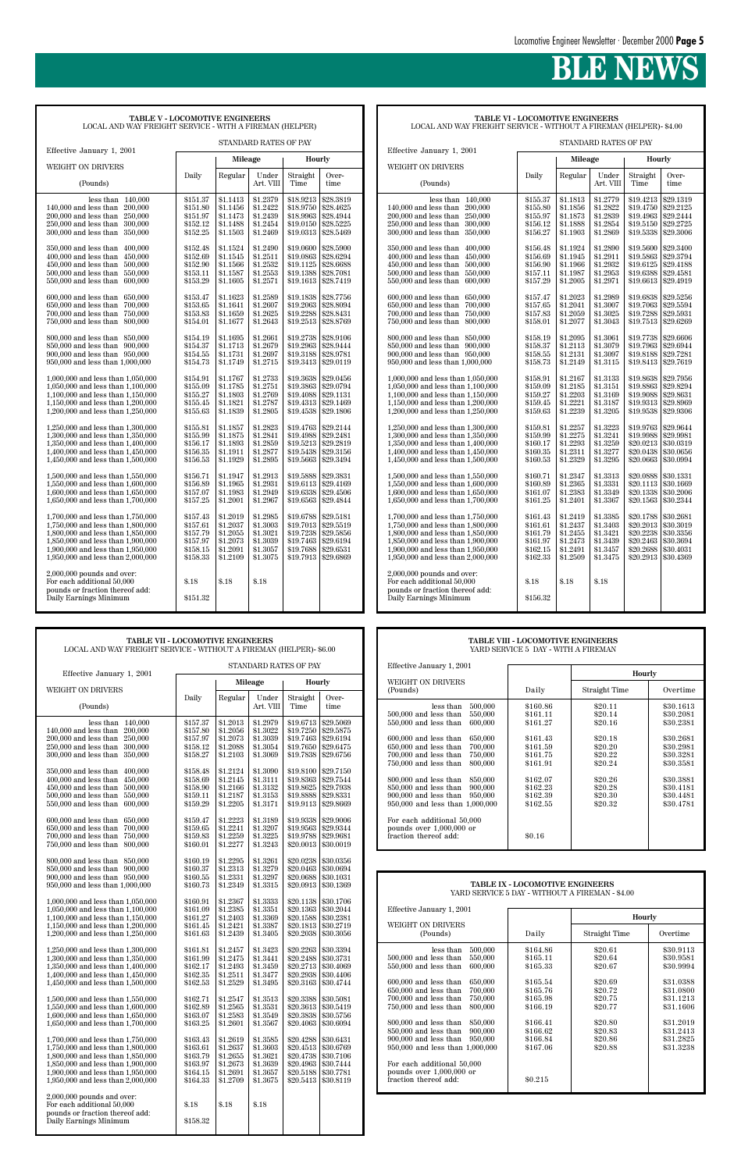# **BLE NEWS**

| TABLE V - LOCOMOTIVE ENGINEERS<br>LOCAL AND WAY FREIGHT SERVICE - WITH A FIREMAN (HELPER) |                      |                      |                       |                        |                        |  |  |  |  |  |
|-------------------------------------------------------------------------------------------|----------------------|----------------------|-----------------------|------------------------|------------------------|--|--|--|--|--|
| Effective January 1, 2001                                                                 |                      |                      | STANDARD RATES OF PAY |                        |                        |  |  |  |  |  |
|                                                                                           |                      | Mileage              |                       | <b>Hourly</b>          |                        |  |  |  |  |  |
| WEIGHT ON DRIVERS                                                                         | Daily                | Regular              | Under                 | Straight               | Over-                  |  |  |  |  |  |
| (Pounds)                                                                                  |                      |                      | Art. VIII             | Time                   | time                   |  |  |  |  |  |
| less than<br>140,000                                                                      | \$151.37<br>\$151.80 | \$1.1413<br>\$1.1456 | \$1.2379<br>\$1.2422  | \$18.9213<br>\$18.9750 | \$28.3819<br>\$28.4625 |  |  |  |  |  |
| 140,000 and less than<br>200,000<br>200,000 and less than<br>250,000                      | \$151.97             | \$1.1473             | \$1.2439              | \$18.9963              | \$28.4944              |  |  |  |  |  |
| 250,000 and less than<br>300,000                                                          | \$152.12             | \$1.1488             | \$1.2454              | \$19.0150              | \$28.5225              |  |  |  |  |  |
| 300,000 and less than<br>350,000                                                          | \$152.25             | \$1.1503             | \$1.2469              | \$19.0313              | \$28.5469              |  |  |  |  |  |
| 350,000 and less than<br>400,000                                                          | \$152.48             | \$1.1524             | \$1.2490              | \$19.0600              | \$28.5900              |  |  |  |  |  |
| $400,000$ and less than<br>450,000                                                        | \$152.69             | \$1.1545             | \$1.2511              | \$19.0863              | \$28.6294              |  |  |  |  |  |
| 450,000 and less than<br>500,000                                                          | \$152.90             | \$1.1566             | \$1.2532              | \$19.1125              | \$28,6688              |  |  |  |  |  |
| $500,000$ and less than<br>550,000                                                        | \$153.11             | \$1.1587             | \$1.2553              | \$19.1388              | \$28.7081              |  |  |  |  |  |
| 550,000 and less than<br>600,000                                                          | \$153.29             | \$1.1605             | \$1.2571              | \$19.1613              | \$28.7419              |  |  |  |  |  |
| 600,000 and less than<br>650,000                                                          | \$153.47             | \$1.1623             | \$1.2589              | \$19.1838              | \$28.7756              |  |  |  |  |  |
| 650,000 and less than<br>700,000                                                          | \$153.65             | \$1.1641             | \$1.2607              | \$19.2063              | \$28.8094              |  |  |  |  |  |
| 700,000 and less than<br>750,000                                                          | \$153.83             | \$1.1659             | \$1.2625              | \$19.2288              | \$28.8431              |  |  |  |  |  |
| 750,000 and less than<br>800,000                                                          | \$154.01             | \$1.1677             | \$1.2643              | \$19.2513              | \$28.8769              |  |  |  |  |  |
| 800,000 and less than<br>850,000                                                          | \$154.19             | \$1.1695             | \$1.2661              | \$19.2738              | \$28.9106              |  |  |  |  |  |
| 850,000 and less than<br>900,000                                                          | \$154.37             | \$1.1713             | \$1.2679              | \$19.2963              | \$28.9444              |  |  |  |  |  |
| 900,000 and less than<br>950,000                                                          | \$154.55             | \$1.1731             | \$1.2697              | \$19.3188              | \$28.9781              |  |  |  |  |  |
| 950,000 and less than 1,000,000                                                           | \$154.73             | \$1.1749             | \$1.2715              | \$19.3413              | \$29.0119              |  |  |  |  |  |
| 1,000,000 and less than 1,050,000                                                         | \$154.91             | \$1.1767             | \$1.2733              | \$19.3638              | \$29.0456              |  |  |  |  |  |
| 1,050,000 and less than 1,100,000                                                         | \$155.09             | \$1.1785             | \$1.2751              | \$19.3863              | \$29.0794              |  |  |  |  |  |
| 1,100,000 and less than 1,150,000                                                         | \$155.27             | \$1.1803             | \$1.2769              | \$19.4088              | \$29.1131              |  |  |  |  |  |
| 1,150,000 and less than 1,200,000                                                         | \$155.45             | \$1.1821             | \$1.2787              | \$19.4313              | \$29.1469              |  |  |  |  |  |
| 1,200,000 and less than 1,250,000                                                         | \$155.63             | \$1.1839             | \$1.2805              | \$19.4538              | \$29.1806              |  |  |  |  |  |
| 1,250,000 and less than 1,300,000                                                         | \$155.81             | \$1.1857             | \$1.2823              | \$19.4763              | \$29.2144              |  |  |  |  |  |
| 1,300,000 and less than 1,350,000                                                         | \$155.99             | \$1.1875             | \$1.2841              | \$19.4988              | \$29.2481              |  |  |  |  |  |
| 1,350,000 and less than 1,400,000                                                         | \$156.17             | \$1.1893             | \$1.2859              | \$19.5213              | \$29.2819              |  |  |  |  |  |
| 1,400,000 and less than 1,450,000                                                         | \$156.35             | \$1.1911             | \$1.2877              | \$19.5438              | \$29.3156              |  |  |  |  |  |
| 1,450,000 and less than 1,500,000                                                         | \$156.53             | \$1.1929             | \$1.2895              | \$19.5663              | \$29.3494              |  |  |  |  |  |
| 1,500,000 and less than 1,550,000                                                         | \$156.71             | \$1.1947             | \$1.2913              | \$19.5888              | \$29.3831              |  |  |  |  |  |
| 1,550,000 and less than 1,600,000                                                         | \$156.89             | \$1.1965             | \$1.2931              | \$19.6113              | \$29.4169              |  |  |  |  |  |
| 1,600,000 and less than 1,650,000                                                         | \$157.07             | \$1.1983             | \$1.2949              | \$19.6338              | \$29.4506              |  |  |  |  |  |
| 1,650,000 and less than 1,700,000                                                         | \$157.25             | \$1.2001             | \$1.2967              | \$19.6563              | \$29.4844              |  |  |  |  |  |
| 1,700,000 and less than 1,750,000                                                         | \$157.43             | \$1.2019             | \$1.2985              | \$19.6788              | \$29.5181              |  |  |  |  |  |
| 1,750,000 and less than 1,800,000                                                         | \$157.61             | \$1.2037             | \$1.3003              | \$19.7013              | \$29.5519              |  |  |  |  |  |
| 1,800,000 and less than 1,850,000                                                         | \$157.79             | \$1.2055             | \$1.3021              | \$19.7238              | \$29.5856              |  |  |  |  |  |
| 1,850,000 and less than 1,900,000                                                         | \$157.97             | \$1.2073             | \$1.3039              | \$19.7463              | \$29.6194              |  |  |  |  |  |
| 1,900,000 and less than 1,950,000                                                         | \$158.15             | \$1.2091             | \$1.3057              | \$19.7688              | \$29.6531              |  |  |  |  |  |
| 1,950,000 and less than 2,000,000                                                         | \$158.33             | \$1.2109             | \$1.3075              | \$19.7913              | \$29.6869              |  |  |  |  |  |
| $2,000,000$ pounds and over:                                                              |                      |                      |                       |                        |                        |  |  |  |  |  |
| For each additional 50,000                                                                | \$.18                | \$.18                | \$.18                 |                        |                        |  |  |  |  |  |
| pounds or fraction thereof add:                                                           |                      |                      |                       |                        |                        |  |  |  |  |  |
| Daily Earnings Minimum                                                                    | \$151.32             |                      |                       |                        |                        |  |  |  |  |  |
|                                                                                           |                      |                      |                       |                        |                        |  |  |  |  |  |

| <b>TABLE VI - LOCOMOTIVE ENGINEERS</b>                             |
|--------------------------------------------------------------------|
| LOCAL AND WAY FREIGHT SERVICE - WITHOUT A FIREMAN (HELPER)- \$4.00 |
| STANDARD RATES OF PAY                                              |

| Effective January 1, 2001            |          |          |           |           |           |
|--------------------------------------|----------|----------|-----------|-----------|-----------|
| WEIGHT ON DRIVERS                    |          | Mileage  |           | Hourly    |           |
|                                      | Daily    | Regular  | Under     | Straight  | Over-     |
| (Pounds)                             |          |          | Art. VIII | Time      | time      |
| less than<br>140,000                 | \$155.37 | \$1.1813 | \$1.2779  | \$19.4213 | \$29.1319 |
| 140,000 and less than<br>200,000     | \$155.80 | \$1.1856 | \$1.2822  | \$19.4750 | \$29.2125 |
| $200,\!000$ and less than<br>250,000 | \$155.97 | \$1.1873 | \$1.2839  | \$19.4963 | \$29.2444 |
| 250,000 and less than<br>300,000     | \$156.12 | \$1.1888 | \$1.2854  | \$19.5150 | \$29.2725 |
| 300,000 and less than<br>350,000     | \$156.27 | \$1.1903 | \$1.2869  | \$19.5338 | \$29.3006 |
| 350,000 and less than<br>400,000     | \$156.48 | \$1.1924 | \$1.2890  | \$19.5600 | \$29.3400 |
| 400,000 and less than<br>450,000     | \$156.69 | \$1.1945 | \$1.2911  | \$19.5863 | \$29.3794 |
| 450,000 and less than<br>500,000     | \$156.90 | \$1.1966 | \$1.2932  | \$19.6125 | \$29.4188 |
| 500,000 and less than<br>550,000     | \$157.11 | \$1.1987 | \$1.2953  | \$19.6388 | \$29.4581 |
| 550,000 and less than<br>600,000     | \$157.29 | \$1.2005 | \$1.2971  | \$19.6613 | \$29.4919 |
| 600,000 and less than<br>650,000     | \$157.47 | \$1.2023 | \$1.2989  | \$19.6838 | \$29.5256 |
| 650,000 and less than<br>700,000     | \$157.65 | \$1.2041 | \$1.3007  | \$19.7063 | \$29.5594 |
| 700,000 and less than<br>750,000     | \$157.83 | \$1.2059 | \$1.3025  | \$19.7288 | \$29.5931 |
| 750,000 and less than<br>800,000     | \$158.01 | \$1.2077 | \$1.3043  | \$19.7513 | \$29.6269 |
| 800,000 and less than<br>850,000     | \$158.19 | \$1.2095 | \$1.3061  | \$19.7738 | \$29.6606 |
| 850,000 and less than<br>900,000     | \$158.37 | \$1.2113 | \$1.3079  | \$19.7963 | \$29.6944 |
| 900,000 and less than 950,000        | \$158.55 | \$1.2131 | \$1.3097  | \$19.8188 | \$29.7281 |
| 950,000 and less than 1,000,000      | \$158.73 | \$1.2149 | \$1.3115  | \$19.8413 | \$29.7619 |
| 1,000,000 and less than 1,050,000    | \$158.91 | \$1.2167 | \$1.3133  | \$19.8638 | \$29.7956 |
| 1,050,000 and less than 1,100,000    | \$159.09 | \$1.2185 | \$1.3151  | \$19.8863 | \$29.8294 |
| 1,100,000 and less than 1,150,000    | \$159.27 | \$1.2203 | \$1.3169  | \$19.9088 | \$29.8631 |
| 1,150,000 and less than 1,200,000    | \$159.45 | \$1.2221 | \$1.3187  | \$19.9313 | \$29.8969 |
| 1,200,000 and less than 1,250,000    | \$159.63 | \$1.2239 | \$1.3205  | \$19.9538 | \$29.9306 |
| 1,250,000 and less than 1,300,000    | \$159.81 | \$1.2257 | \$1.3223  | \$19.9763 | \$29.9644 |
| 1,300,000 and less than 1,350,000    | \$159.99 | \$1.2275 | \$1.3241  | \$19.9988 | \$29.9981 |
| 1,350,000 and less than 1,400,000    | \$160.17 | \$1.2293 | \$1.3259  | \$20.0213 | \$30.0319 |
| 1,400,000 and less than 1,450,000    | \$160.35 | \$1.2311 | \$1.3277  | \$20.0438 | \$30.0656 |
| 1,450,000 and less than 1,500,000    | \$160.53 | \$1.2329 | \$1.3295  | \$20.0663 | \$30.0994 |
|                                      |          |          |           |           |           |
| 1,500,000 and less than 1,550,000    | \$160.71 | \$1.2347 | \$1.3313  | \$20.0888 | \$30.1331 |
| 1,550,000 and less than 1,600,000    | \$160.89 | \$1.2365 | \$1.3331  | \$20.1113 | \$30.1669 |
| 1,600,000 and less than 1,650,000    | \$161.07 | \$1.2383 | \$1.3349  | \$20.1338 | \$30.2006 |
| 1,650,000 and less than 1,700,000    | \$161.25 | \$1.2401 | \$1.3367  | \$20.1563 | \$30.2344 |
| 1,700,000 and less than 1,750,000    | \$161.43 | \$1.2419 | \$1.3385  | \$20.1788 | \$30.2681 |
| 1,750,000 and less than 1,800,000    | \$161.61 | \$1.2437 | \$1.3403  | \$20.2013 | \$30.3019 |
| 1,800,000 and less than 1,850,000    | \$161.79 | \$1.2455 | \$1.3421  | \$20.2238 | \$30.3356 |
| 1,850,000 and less than 1,900,000    | \$161.97 | \$1.2473 | \$1.3439  | \$20.2463 | \$30.3694 |
| 1,900,000 and less than 1,950,000    | \$162.15 | \$1.2491 | \$1.3457  | \$20.2688 | \$30.4031 |
| 1,950,000 and less than 2,000,000    | \$162.33 | \$1.2509 | \$1.3475  | \$20.2913 | \$30.4369 |
| $2,000,000$ pounds and over:         |          |          |           |           |           |
| For each additional 50,000           | \$.18    | \$.18    | \$.18     |           |           |
| pounds or fraction thereof add:      |          |          |           |           |           |
| Daily Earnings Minimum               | \$156.32 |          |           |           |           |
|                                      |          |          |           |           |           |

| <b>TABLE VII - LOCOMOTIVE ENGINEERS</b><br>LOCAL AND WAY FREIGHT SERVICE - WITHOUT A FIREMAN (HELPER)- \$6.00                                                                                                                                                                                                                                                                                                                                                                                          |                                                                                                                                                                      |                                                                                                                                                                      |                                                                                                                                                                      |                                                                                                                                                                      |                                                                                                                                                                                                      |                                                                                                                                                                                                                                                                                                                                                               |                                                                                                 | <b>TABLE VIII - LOCOMOTIVE ENGINEERS</b><br>YARD SERVICE 5 DAY - WITH A FIREMAN                                                |                                                                                                            |                                                                                                                                |
|--------------------------------------------------------------------------------------------------------------------------------------------------------------------------------------------------------------------------------------------------------------------------------------------------------------------------------------------------------------------------------------------------------------------------------------------------------------------------------------------------------|----------------------------------------------------------------------------------------------------------------------------------------------------------------------|----------------------------------------------------------------------------------------------------------------------------------------------------------------------|----------------------------------------------------------------------------------------------------------------------------------------------------------------------|----------------------------------------------------------------------------------------------------------------------------------------------------------------------|------------------------------------------------------------------------------------------------------------------------------------------------------------------------------------------------------|---------------------------------------------------------------------------------------------------------------------------------------------------------------------------------------------------------------------------------------------------------------------------------------------------------------------------------------------------------------|-------------------------------------------------------------------------------------------------|--------------------------------------------------------------------------------------------------------------------------------|------------------------------------------------------------------------------------------------------------|--------------------------------------------------------------------------------------------------------------------------------|
| Effective January 1, 2001                                                                                                                                                                                                                                                                                                                                                                                                                                                                              |                                                                                                                                                                      |                                                                                                                                                                      |                                                                                                                                                                      | STANDARD RATES OF PAY                                                                                                                                                |                                                                                                                                                                                                      | Effective January 1, 2001                                                                                                                                                                                                                                                                                                                                     |                                                                                                 |                                                                                                                                | Hourly                                                                                                     |                                                                                                                                |
| WEIGHT ON DRIVERS                                                                                                                                                                                                                                                                                                                                                                                                                                                                                      |                                                                                                                                                                      |                                                                                                                                                                      | Mileage                                                                                                                                                              | <b>Hourly</b>                                                                                                                                                        |                                                                                                                                                                                                      | WEIGHT ON DRIVERS<br>(Pounds)                                                                                                                                                                                                                                                                                                                                 |                                                                                                 | Daily                                                                                                                          | Straight Time                                                                                              | Overtime                                                                                                                       |
| (Pounds)                                                                                                                                                                                                                                                                                                                                                                                                                                                                                               | Daily                                                                                                                                                                | Regular                                                                                                                                                              | Under<br>Art. VIII                                                                                                                                                   | Straight<br>Time                                                                                                                                                     | Over-<br>time                                                                                                                                                                                        | less than                                                                                                                                                                                                                                                                                                                                                     | 500,000                                                                                         | \$160.86                                                                                                                       | \$20.11                                                                                                    | \$30.1613                                                                                                                      |
| less than $140,000$<br>140,000 and less than<br>200,000<br>200,000 and less than<br>250,000<br>$250,000$ and less than<br>300,000<br>350,000<br>300,000 and less than<br>350,000 and less than<br>400.000<br>450,000<br>400,000 and less than<br>500,000<br>450,000 and less than<br>500,000 and less than<br>550,000<br>600,000<br>550,000 and less than<br>600,000 and less than 650,000<br>700,000<br>650,000 and less than<br>700,000 and less than<br>750,000<br>750,000 and less than<br>800,000 | \$157.37<br>\$157.80<br>\$157.97<br>\$158.12<br>\$158.27<br>\$158.48<br>\$158.69<br>\$158.90<br>\$159.11<br>\$159.29<br>\$159.47<br>\$159.65<br>\$159.83<br>\$160.01 | \$1.2013<br>\$1.2056<br>\$1.2073<br>\$1.2088<br>\$1.2103<br>\$1.2124<br>\$1.2145<br>\$1.2166<br>\$1.2187<br>\$1.2205<br>\$1.2223<br>\$1.2241<br>\$1.2259<br>\$1,2277 | \$1.2979<br>\$1.3022<br>\$1.3039<br>\$1.3054<br>\$1.3069<br>\$1.3090<br>\$1.3111<br>\$1.3132<br>\$1.3153<br>\$1.3171<br>\$1.3189<br>\$1.3207<br>\$1.3225<br>\$1.3243 | \$19.6713<br>\$19.7463<br>\$19.7650<br>\$19.8100<br>\$19.8363<br>\$19.8625<br>\$19.8888 \$29.8331<br>$$19.9113 \;   \; $29.8669$<br>\$19.9563<br>\$19.9788 \$29.9681 | \$29.5069<br>$$19.7250 \mid $29.5875$<br>\$29.6194<br>\$29.6475<br>\$19.7838 \$29.6756<br>\$29.7150<br>\$29.7544<br>\$29.7938<br>$$19.9338 \; \; $29.9006$<br>\$29.9344<br>$$20.0013 \; \; $30.0019$ | $500,000$ and less than<br>$550,000$ and less than<br>$600,000$ and less than<br>$650,000$ and less than<br>700,000 and less than<br>750,000 and less than<br>800,000 and less than<br>850,000 and less than<br>900,000 and less than<br>950,000 and less than 1,000,000<br>For each additional 50,000<br>pounds over $1,000,000$ or<br>fraction thereof add: | 550,000<br>600,000<br>650,000<br>700,000<br>750,000<br>800,000<br>850,000<br>900,000<br>950,000 | \$161.11<br>\$161.27<br>\$161.43<br>\$161.59<br>\$161.75<br>\$161.91<br>\$162.07<br>\$162.23<br>\$162.39<br>\$162.55<br>\$0.16 | \$20.14<br>\$20.16<br>\$20.18<br>\$20.20<br>\$20.22<br>\$20.24<br>\$20.26<br>\$20.28<br>\$20.30<br>\$20.32 | \$30.2081<br>\$30.2381<br>\$30.2681<br>\$30.2981<br>\$30.3281<br>\$30.3581<br>\$30.3881<br>\$30.4181<br>\$30.4481<br>\$30.4781 |
| 800,000 and less than 850,000<br>850,000 and less than 900,000<br>900,000 and less than 950,000<br>$950,000$ and less than $1,000,000$<br>1,000,000 and less than 1,050,000                                                                                                                                                                                                                                                                                                                            | \$160.19<br>\$160.37<br>\$160.55<br>\$160.73<br>\$160.91                                                                                                             | \$1.2295<br>\$1.2313<br>\$1.2331<br>\$1.2349<br>\$1.2367                                                                                                             | \$1.3261<br>\$1.3279<br>\$1.3297<br>\$1.3315<br>\$1.3333                                                                                                             | \$20.0463<br>$$20.0688 \;   \; $30.1031$                                                                                                                             | $$20.0238$ \s30.0356<br>\$30.0694<br>$$20.0913$ \\$30.1369<br>$$20.1138$ \$30.1706                                                                                                                   |                                                                                                                                                                                                                                                                                                                                                               |                                                                                                 | TABLE IX - LOCOMOTIVE ENGINEERS<br>YARD SERVICE 5 DAY - WITHOUT A FIREMAN - \$4.00                                             |                                                                                                            |                                                                                                                                |
| 1,050,000 and less than 1,100,000<br>1,100,000 and less than 1,150,000                                                                                                                                                                                                                                                                                                                                                                                                                                 | \$161.09<br>\$161.27                                                                                                                                                 | \$1.2385<br>\$1.2403                                                                                                                                                 | \$1.3351<br>\$1.3369                                                                                                                                                 | \$20.1363                                                                                                                                                            | \$30.2044<br>$$20.1588$ \s30.2381                                                                                                                                                                    | Effective January 1, 2001                                                                                                                                                                                                                                                                                                                                     |                                                                                                 |                                                                                                                                | <b>Hourly</b>                                                                                              |                                                                                                                                |
| 1,150,000 and less than 1,200,000<br>1,200,000 and less than 1,250,000                                                                                                                                                                                                                                                                                                                                                                                                                                 | \$161.45<br>\$161.63                                                                                                                                                 | \$1.2421<br>\$1.2439                                                                                                                                                 | \$1.3387<br>\$1.3405                                                                                                                                                 |                                                                                                                                                                      | \$20.1813   \$30.2719<br>$$20.2038$ \s30.3056                                                                                                                                                        | WEIGHT ON DRIVERS<br>(Pounds)                                                                                                                                                                                                                                                                                                                                 |                                                                                                 | Daily                                                                                                                          | Straight Time                                                                                              | Overtime                                                                                                                       |
| 1,250,000 and less than 1,300,000<br>1,300,000 and less than 1,350,000<br>1,350,000 and less than 1,400,000<br>1,400,000 and less than 1,450,000<br>1,450,000 and less than 1,500,000                                                                                                                                                                                                                                                                                                                  | \$161.81<br>\$161.99<br>\$162.17<br>\$162.35<br>\$162.53                                                                                                             | \$1.2457<br>\$1.2475<br>\$1.2493<br>\$1.2511<br>\$1.2529                                                                                                             | \$1.3423<br>\$1.3441<br>\$1.3459<br>\$1.3477<br>\$1.3495                                                                                                             | \$20,2263<br>$$20.2488 \;   \; $30.3731$<br>$$20.3163 \;   \; $30.4744$                                                                                              | \$30.3394<br>$$20.2713 \;   \; $30.4069$<br>$$20.2938 \; \; $30.4406$                                                                                                                                | less than<br>$500,000$ and less than<br>550,000 and less than<br>$600,000$ and less than<br>$650,000$ and less than                                                                                                                                                                                                                                           | 500,000<br>550,000<br>600,000<br>650,000<br>700,000                                             | \$164.86<br>\$165.11<br>\$165.33<br>\$165.54<br>\$165.76                                                                       | \$20.61<br>\$20.64<br>\$20.67<br>\$20.69<br>\$20.72                                                        | \$30.9113<br>\$30.9581<br>\$30.9994<br>\$31.0388<br>\$31.0800                                                                  |
| 1,500,000 and less than 1,550,000<br>1,550,000 and less than 1,600,000<br>1,600,000 and less than 1,650,000<br>1,650,000 and less than 1,700,000                                                                                                                                                                                                                                                                                                                                                       | \$162.71<br>\$162.89<br>\$163.07<br>\$163.25                                                                                                                         | \$1.2547<br>\$1.2565<br>\$1.2583<br>\$1.2601                                                                                                                         | \$1.3513<br>\$1.3531<br>\$1.3549<br>\$1.3567                                                                                                                         | \$20.3388<br>\$20.3838                                                                                                                                               | \$30.5081<br>$$20.3613 \;   \; $30.5419$<br>\$30.5756<br>$$20.4063 \; \; $30.6094$                                                                                                                   | 700,000 and less than<br>750,000 and less than<br>800,000 and less than                                                                                                                                                                                                                                                                                       | 750,000<br>800,000<br>850,000                                                                   | \$165.98<br>\$166.19<br>\$166.41                                                                                               | \$20.75<br>\$20.77<br>\$20.80                                                                              | \$31.1213<br>\$31.1606<br>\$31.2019                                                                                            |
| 1,700,000 and less than 1,750,000<br>1,750,000 and less than 1,800,000<br>1,800,000 and less than 1,850,000<br>1.850,000 and less than 1.900,000<br>1,900,000 and less than 1,950,000<br>1,950,000 and less than 2,000,000                                                                                                                                                                                                                                                                             | \$163.43<br>\$163.61<br>\$163.79<br>\$163.97<br>\$164.15<br>\$164.33                                                                                                 | \$1.2619<br>\$1.2637<br>\$1.2655<br>\$1.2673<br>\$1.2691<br>\$1.2709                                                                                                 | \$1.3585<br>\$1.3603<br>\$1.3621<br>\$1.3639<br>\$1.3657<br>\$1.3675                                                                                                 | $$20.4288 \;   \; $30.6431$<br>$$20.5188 \;   \; $30.7781$                                                                                                           | $$20.4513 \;   \; $30.6769$<br>$$20.4738$ \s30.7106<br>$$20.4963 \;   \; $30.7444$<br>$$20.5413 \;   \; $30.8119$                                                                                    | 850,000 and less than<br>900,000 and less than<br>950,000 and less than 1,000,000<br>For each additional 50,000<br>pounds over $1,000,000$ or<br>fraction thereof add:                                                                                                                                                                                        | 900,000<br>950,000                                                                              | \$166.62<br>\$166.84<br>\$167.06<br>\$0.215                                                                                    | \$20.83<br>\$20.86<br>\$20.88                                                                              | \$31.2413<br>\$31.2825<br>\$31.3238                                                                                            |
| $2,000,000$ pounds and over:<br>For each additional 50,000<br>pounds or fraction thereof add:<br>Daily Earnings Minimum                                                                                                                                                                                                                                                                                                                                                                                | \$.18<br>\$158.32                                                                                                                                                    | \$.18                                                                                                                                                                | \$.18                                                                                                                                                                |                                                                                                                                                                      |                                                                                                                                                                                                      |                                                                                                                                                                                                                                                                                                                                                               |                                                                                                 |                                                                                                                                |                                                                                                            |                                                                                                                                |

### **TABLE VIII - LOCOMOTIVE ENGINEERS**

| Effective January 1, 2001                                                                                                                                                                                                                                                                                                                                                                                                                                                                |                                                                                                                                            |                                                                                                                       |                                                                                                                                             |
|------------------------------------------------------------------------------------------------------------------------------------------------------------------------------------------------------------------------------------------------------------------------------------------------------------------------------------------------------------------------------------------------------------------------------------------------------------------------------------------|--------------------------------------------------------------------------------------------------------------------------------------------|-----------------------------------------------------------------------------------------------------------------------|---------------------------------------------------------------------------------------------------------------------------------------------|
|                                                                                                                                                                                                                                                                                                                                                                                                                                                                                          |                                                                                                                                            | Hourly                                                                                                                |                                                                                                                                             |
| WEIGHT ON DRIVERS<br>(Pounds)                                                                                                                                                                                                                                                                                                                                                                                                                                                            | Daily                                                                                                                                      | Straight Time                                                                                                         | Overtime                                                                                                                                    |
| 500,000<br>less than<br>550,000<br>$500,000$ and less than<br>$550,000$ and less than<br>600,000<br>650,000<br>$600,000$ and less than<br>$650,000$ and less than<br>700,000<br>700,000 and less than<br>750,000<br>750,000 and less than<br>800,000<br>800,000 and less than<br>850,000<br>850,000 and less than<br>900,000<br>900,000 and less than<br>950,000<br>950,000 and less than 1,000,000<br>For each additional 50,000<br>pounds over $1,000,000$ or<br>fraction thereof add: | \$160.86<br>\$161.11<br>\$161.27<br>\$161.43<br>\$161.59<br>\$161.75<br>\$161.91<br>\$162.07<br>\$162.23<br>\$162.39<br>\$162.55<br>\$0.16 | \$20.11<br>\$20.14<br>\$20.16<br>\$20.18<br>\$20.20<br>\$20.22<br>\$20.24<br>\$20.26<br>\$20.28<br>\$20.30<br>\$20.32 | \$30.1613<br>\$30.2081<br>\$30.2381<br>\$30.2681<br>\$30.2981<br>\$30.3281<br>\$30.3581<br>\$30.3881<br>\$30.4181<br>\$30.4481<br>\$30.4781 |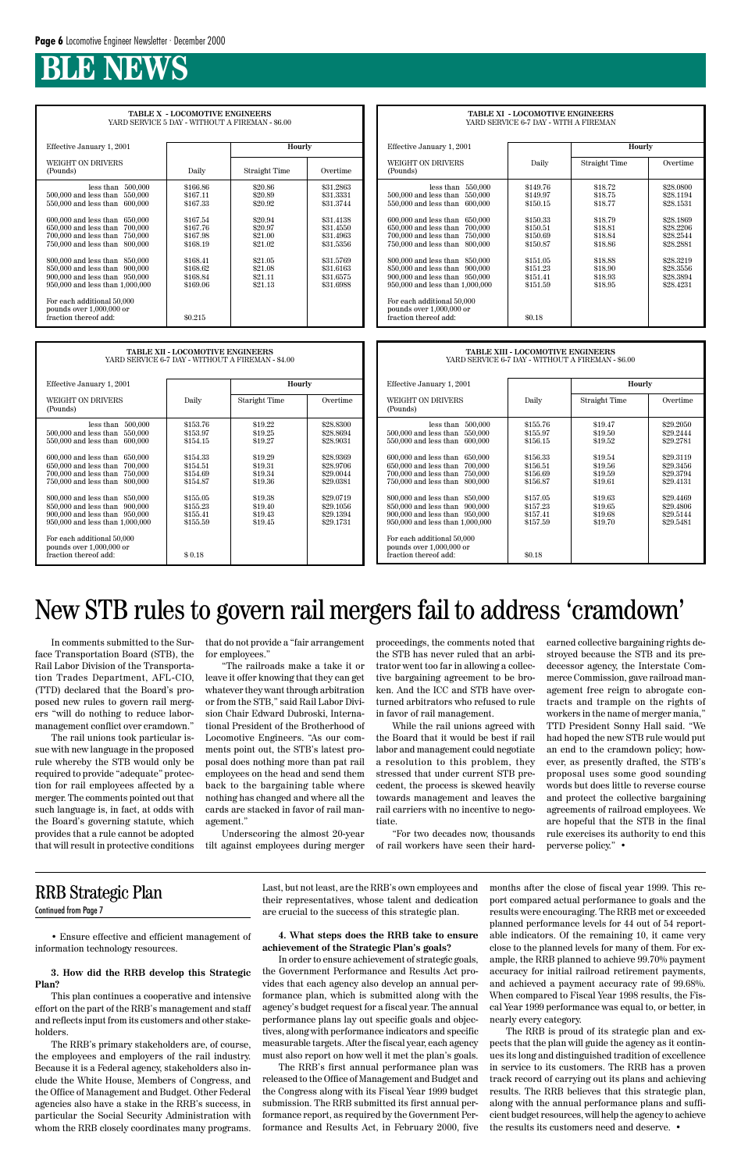# **BLE NEWS**

• Ensure effective and efficient management of information technology resources.

**3. How did the RRB develop this Strategic Plan?**

This plan continues a cooperative and intensive effort on the part of the RRB's management and staff and reflects input from its customers and other stakeholders.

The RRB's primary stakeholders are, of course, the employees and employers of the rail industry. Because it is a Federal agency, stakeholders also include the White House, Members of Congress, and the Office of Management and Budget. Other Federal agencies also have a stake in the RRB's success, in particular the Social Security Administration with whom the RRB closely coordinates many programs.

Last, but not least, are the RRB's own employees and their representatives, whose talent and dedication are crucial to the success of this strategic plan.

#### **4. What steps does the RRB take to ensure achievement of the Strategic Plan's goals?**

In order to ensure achievement of strategic goals, the Government Performance and Results Act provides that each agency also develop an annual performance plan, which is submitted along with the agency's budget request for a fiscal year. The annual performance plans lay out specific goals and objectives, along with performance indicators and specific measurable targets. After the fiscal year, each agency must also report on how well it met the plan's goals.

The RRB's first annual performance plan was released to the Office of Management and Budget and the Congress along with its Fiscal Year 1999 budget submission. The RRB submitted its first annual performance report, as required by the Government Performance and Results Act, in February 2000, five months after the close of fiscal year 1999. This report compared actual performance to goals and the results were encouraging. The RRB met or exceeded planned performance levels for 44 out of 54 reportable indicators. Of the remaining 10, it came very close to the planned levels for many of them. For example, the RRB planned to achieve 99.70% payment accuracy for initial railroad retirement payments, and achieved a payment accuracy rate of 99.68%. When compared to Fiscal Year 1998 results, the Fiscal Year 1999 performance was equal to, or better, in nearly every category.

The RRB is proud of its strategic plan and expects that the plan will guide the agency as it continues its long and distinguished tradition of excellence in service to its customers. The RRB has a proven track record of carrying out its plans and achieving results. The RRB believes that this strategic plan, along with the annual performance plans and sufficient budget resources, will help the agency to achieve the results its customers need and deserve. •

**TABLE X - LOCOMOTIVE ENGINEERS** YARD SERVICE 5 DAY - WITHOUT A FIREMAN - \$6.00

| Effective January 1, 2001                                                                                                                                                                                                                                                                                                                                                                                                                                          |                                                                                                                                             | Hourly                                                                                                                |                                                                                                                                             |
|--------------------------------------------------------------------------------------------------------------------------------------------------------------------------------------------------------------------------------------------------------------------------------------------------------------------------------------------------------------------------------------------------------------------------------------------------------------------|---------------------------------------------------------------------------------------------------------------------------------------------|-----------------------------------------------------------------------------------------------------------------------|---------------------------------------------------------------------------------------------------------------------------------------------|
| WEIGHT ON DRIVERS<br>(Pounds)                                                                                                                                                                                                                                                                                                                                                                                                                                      | Daily                                                                                                                                       | Straight Time                                                                                                         | Overtime                                                                                                                                    |
| 500,000<br>less than<br>500,000 and less than<br>550,000<br>550,000 and less than<br>600,000<br>600,000 and less than<br>650,000<br>650,000 and less than<br>700,000<br>700,000 and less than 750,000<br>750,000 and less than<br>800,000<br>800,000 and less than 850,000<br>850,000 and less than 900,000<br>900,000 and less than 950,000<br>950,000 and less than 1,000,000<br>For each additional 50,000<br>pounds over 1,000,000 or<br>fraction thereof add: | \$166.86<br>\$167.11<br>\$167.33<br>\$167.54<br>\$167.76<br>\$167.98<br>\$168.19<br>\$168.41<br>\$168.62<br>\$168.84<br>\$169.06<br>\$0.215 | \$20.86<br>\$20.89<br>\$20.92<br>\$20.94<br>\$20.97<br>\$21.00<br>\$21.02<br>\$21.05<br>\$21.08<br>\$21.11<br>\$21.13 | \$31.2863<br>\$31.3331<br>\$31,3744<br>\$31.4138<br>\$31.4550<br>\$31.4963<br>\$31.5356<br>\$31.5769<br>\$31.6163<br>\$31.6575<br>\$31.6988 |

#### **TABLE XI - LOCOMOTIVE ENGINEERS** YARD SERVICE 6-7 DAY - WITH A FIREMAN

| Effective January 1, 2001                                                                                                                                                                                                                                                                                                                                                                |                                                                                                                                  | Hourly                                                                                                                |                                                                                                                                             |
|------------------------------------------------------------------------------------------------------------------------------------------------------------------------------------------------------------------------------------------------------------------------------------------------------------------------------------------------------------------------------------------|----------------------------------------------------------------------------------------------------------------------------------|-----------------------------------------------------------------------------------------------------------------------|---------------------------------------------------------------------------------------------------------------------------------------------|
| WEIGHT ON DRIVERS<br>(Pounds)                                                                                                                                                                                                                                                                                                                                                            | Daily                                                                                                                            | Straight Time                                                                                                         | Overtime                                                                                                                                    |
| 550,000<br>less than<br>500,000 and less than<br>550,000<br>550,000 and less than<br>600.000<br>600,000 and less than<br>650,000<br>650,000 and less than<br>700,000<br>700,000 and less than<br>750,000<br>800,000<br>750,000 and less than<br>800,000 and less than<br>850,000<br>850,000 and less than<br>900,000<br>900,000 and less than 950,000<br>950,000 and less than 1,000,000 | \$149.76<br>\$149.97<br>\$150.15<br>\$150.33<br>\$150.51<br>\$150.69<br>\$150.87<br>\$151.05<br>\$151.23<br>\$151.41<br>\$151.59 | \$18.72<br>\$18.75<br>\$18.77<br>\$18.79<br>\$18.81<br>\$18.84<br>\$18.86<br>\$18.88<br>\$18.90<br>\$18.93<br>\$18.95 | \$28,0800<br>\$28.1194<br>\$28.1531<br>\$28.1869<br>\$28.2206<br>\$28.2544<br>\$28.2881<br>\$28.3219<br>\$28.3556<br>\$28.3894<br>\$28.4231 |
| For each additional 50,000<br>pounds over 1,000,000 or<br>fraction thereof add:                                                                                                                                                                                                                                                                                                          | \$0.18                                                                                                                           |                                                                                                                       |                                                                                                                                             |

#### **TABLE XII - LOCOMOTIVE ENGINEERS** YARD SERVICE 6-7 DAY - WITHOUT A FIREMAN - \$4.00

| Effective January 1, 2001                                         | Daily                | Hourly             |                        |
|-------------------------------------------------------------------|----------------------|--------------------|------------------------|
| WEIGHT ON DRIVERS<br>(Pounds)                                     |                      | Staright Time      | Overtime               |
| 500,000<br>less than<br>550,000<br>$500,000$ and less than        | \$153.76<br>\$153.97 | \$19.22<br>\$19.25 | \$28.8300<br>\$28.8694 |
| 550,000 and less than<br>600,000                                  | \$154.15             | \$19.27            | \$28.9031              |
| $600,000$ and less than<br>650,000                                | \$154.33             | \$19.29            | \$28.9369              |
| 650,000 and less than 700,000<br>700,000 and less than 750,000    | \$154.51<br>\$154.69 | \$19.31<br>\$19.34 | \$28,9706<br>\$29.0044 |
| 750,000 and less than<br>800,000                                  | \$154.87             | \$19.36            | \$29.0381              |
| 800,000 and less than 850,000                                     | \$155.05             | \$19.38            | \$29.0719              |
| 850,000 and less than<br>900,000<br>900,000 and less than 950,000 | \$155.23<br>\$155.41 | \$19.40<br>\$19.43 | \$29.1056<br>\$29.1394 |
| 950,000 and less than 1,000,000                                   | \$155.59             | \$19.45            | \$29.1731              |
| For each additional 50,000                                        |                      |                    |                        |
| pounds over 1,000,000 or<br>fraction thereof add:                 | \$0.18               |                    |                        |

#### **TABLE XIII - LOCOMOTIVE ENGINEERS** YARD SERVICE 6-7 DAY - WITHOUT A FIREMAN - \$6.00

| Hourly                                                                                                                                      |  |
|---------------------------------------------------------------------------------------------------------------------------------------------|--|
| Overtime                                                                                                                                    |  |
| \$29.2050<br>\$29.2444<br>\$29.2781<br>\$29.3119<br>\$29.3456<br>\$29.3794<br>\$29.4131<br>\$29.4469<br>\$29.4806<br>\$29.5144<br>\$29.5481 |  |
|                                                                                                                                             |  |

In comments submitted to the Surface Transportation Board (STB), the Rail Labor Division of the Transportation Trades Department, AFL-CIO, (TTD) declared that the Board's proposed new rules to govern rail mergers "will do nothing to reduce labormanagement conflict over cramdown."

The rail unions took particular issue with new language in the proposed rule whereby the STB would only be required to provide "adequate" protection for rail employees affected by a merger. The comments pointed out that such language is, in fact, at odds with the Board's governing statute, which provides that a rule cannot be adopted that will result in protective conditions that do not provide a "fair arrangement for employees."

"The railroads make a take it or leave it offer knowing that they can get whatever they want through arbitration or from the STB," said Rail Labor Division Chair Edward Dubroski, International President of the Brotherhood of Locomotive Engineers. "As our comments point out, the STB's latest proposal does nothing more than pat rail employees on the head and send them back to the bargaining table where nothing has changed and where all the cards are stacked in favor of rail management."

Underscoring the almost 20-year tilt against employees during merger proceedings, the comments noted that the STB has never ruled that an arbitrator went too far in allowing a collective bargaining agreement to be broken. And the ICC and STB have overturned arbitrators who refused to rule in favor of rail management.

While the rail unions agreed with the Board that it would be best if rail labor and management could negotiate a resolution to this problem, they stressed that under current STB precedent, the process is skewed heavily towards management and leaves the rail carriers with no incentive to negotiate.

"For two decades now, thousands of rail workers have seen their hard-

earned collective bargaining rights destroyed because the STB and its predecessor agency, the Interstate Commerce Commission, gave railroad management free reign to abrogate contracts and trample on the rights of workers in the name of merger mania," TTD President Sonny Hall said. "We had hoped the new STB rule would put an end to the cramdown policy; however, as presently drafted, the STB's proposal uses some good sounding words but does little to reverse course and protect the collective bargaining agreements of railroad employees. We are hopeful that the STB in the final rule exercises its authority to end this perverse policy." •

### RRB Strategic Plan

#### Continued from Page 7

### New STB rules to govern rail mergers fail to address 'cramdown'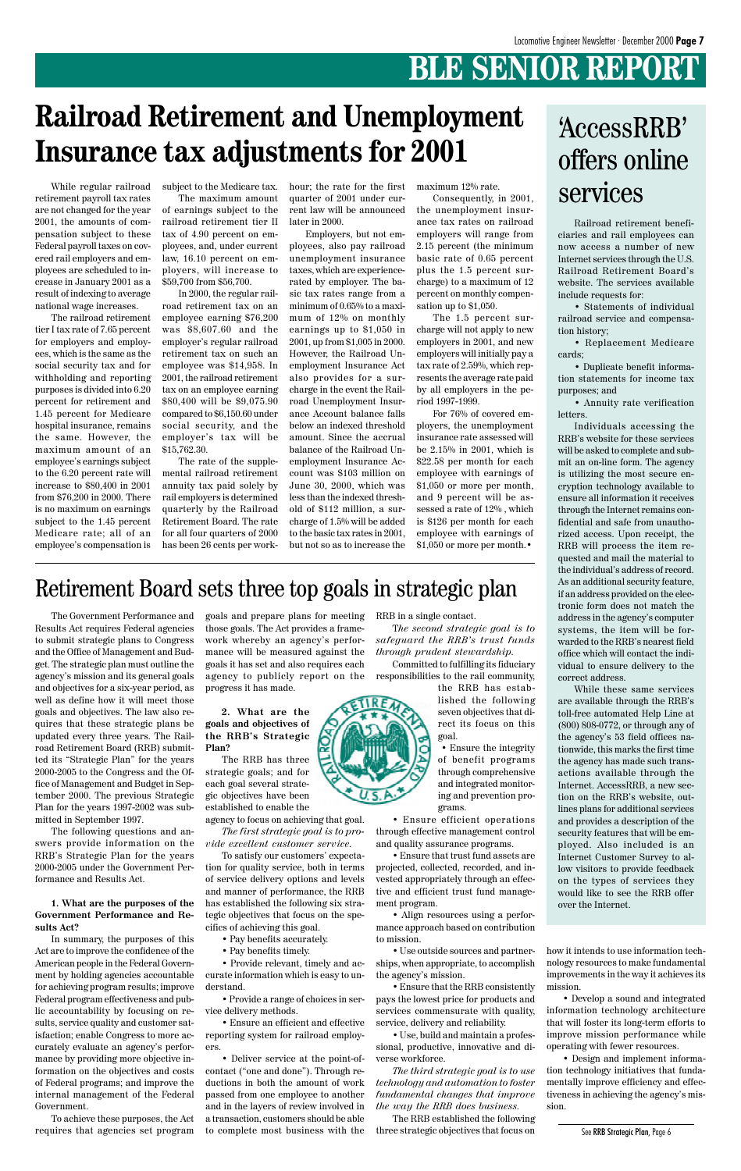# **BLE SENIOR REPORT**

While regular railroad retirement payroll tax rates are not changed for the year 2001, the amounts of compensation subject to these Federal payroll taxes on covered rail employers and employees are scheduled to increase in January 2001 as a result of indexing to average national wage increases.

The railroad retirement tier I tax rate of 7.65 percent for employers and employees, which is the same as the social security tax and for withholding and reporting purposes is divided into 6.20 percent for retirement and 1.45 percent for Medicare hospital insurance, remains the same. However, the maximum amount of an employee's earnings subject to the 6.20 percent rate will increase to \$80,400 in 2001 from \$76,200 in 2000. There is no maximum on earnings subject to the 1.45 percent Medicare rate; all of an employee's compensation is

subject to the Medicare tax.

The maximum amount of earnings subject to the railroad retirement tier II tax of 4.90 percent on employees, and, under current law, 16.10 percent on employers, will increase to \$59,700 from \$56,700.

In 2000, the regular railroad retirement tax on an employee earning \$76,200 was \$8,607.60 and the employer's regular railroad retirement tax on such an employee was \$14,958. In 2001, the railroad retirement tax on an employee earning \$80,400 will be \$9,075.90 compared to \$6,150.60 under social security, and the employer's tax will be \$15,762.30.

The rate of the supplemental railroad retirement annuity tax paid solely by rail employers is determined quarterly by the Railroad Retirement Board. The rate for all four quarters of 2000 has been 26 cents per work-

Railroad retirement beneficiaries and rail employees can now access a number of new Internet services through the U.S. Railroad Retirement Board's website. The services available include requests for:

• Statements of individual railroad service and compensation history;

• Replacement Medicare cards;

• Duplicate benefit information statements for income tax purposes; and

• Annuity rate verification letters.

Individuals accessing the RRB's website for these services will be asked to complete and submit an on-line form. The agency is utilizing the most secure encryption technology available to ensure all information it receives through the Internet remains confidential and safe from unauthorized access. Upon receipt, the RRB will process the item requested and mail the material to the individual's address of record. As an additional security feature, if an address provided on the electronic form does not match the address in the agency's computer systems, the item will be forwarded to the RRB's nearest field office which will contact the individual to ensure delivery to the correct address.

While these same services are available through the RRB's toll-free automated Help Line at (800) 808-0772, or through any of the agency's 53 field offices nationwide, this marks the first time the agency has made such transactions available through the Internet. AccessRRB, a new section on the RRB's website, outlines plans for additional services and provides a description of the security features that will be employed. Also included is an Internet Customer Survey to allow visitors to provide feedback on the types of services they would like to see the RRB offer over the Internet.

The Government Performance and Results Act requires Federal agencies to submit strategic plans to Congress and the Office of Management and Budget. The strategic plan must outline the agency's mission and its general goals and objectives for a six-year period, as well as define how it will meet those goals and objectives. The law also requires that these strategic plans be updated every three years. The Railroad Retirement Board (RRB) submitted its "Strategic Plan" for the years 2000-2005 to the Congress and the Office of Management and Budget in September 2000. The previous Strategic Plan for the years 1997-2002 was submitted in September 1997.

The following questions and answers provide information on the RRB's Strategic Plan for the years

2000-2005 under the Government Performance and Results Act.

**1. What are the purposes of the Government Performance and Results Act?**

In summary, the purposes of this Act are to improve the confidence of the American people in the Federal Government by holding agencies accountable for achieving program results; improve Federal program effectiveness and public accountability by focusing on results, service quality and customer satisfaction; enable Congress to more accurately evaluate an agency's performance by providing more objective information on the objectives and costs of Federal programs; and improve the internal management of the Federal Government.

To achieve these purposes, the Act requires that agencies set program goals and prepare plans for meeting those goals. The Act provides a framework whereby an agency's performance will be measured against the goals it has set and also requires each agency to publicly report on the progress it has made.

**2. What are the goals and objectives of the RRB's Strategic Plan?**

The RRB has three strategic goals; and for each goal several strategic objectives have been established to enable the

agency to focus on achieving that goal. *The first strategic goal is to pro-*

*vide excellent customer service.* To satisfy our customers' expecta-

tion for quality service, both in terms of service delivery options and levels and manner of performance, the RRB has established the following six strategic objectives that focus on the specifics of achieving this goal.

• Pay benefits accurately.

• Pay benefits timely.

• Provide relevant, timely and accurate information which is easy to understand.

• Provide a range of choices in service delivery methods.

• Ensure an efficient and effective reporting system for railroad employers.

• Deliver service at the point-ofcontact ("one and done"). Through reductions in both the amount of work passed from one employee to another and in the layers of review involved in a transaction, customers should be able to complete most business with the RRB in a single contact. T*he second strategic goal is to*

*safeguard the RRB's trust funds through prudent stewardship.*

Committed to fulfilling its fiduciary responsibilities to the rail community,

> the RRB has established the following seven objectives that direct its focus on this goal.

• Ensure the integrity of benefit programs through comprehensive and integrated monitoring and prevention programs.

• Ensure efficient operations through effective management control and quality assurance programs.

• Ensure that trust fund assets are



projected, collected, recorded, and invested appropriately through an effective and efficient trust fund management program.

• Align resources using a performance approach based on contribution to mission.

• Use outside sources and partnerships, when appropriate, to accomplish the agency's mission.

• Ensure that the RRB consistently pays the lowest price for products and services commensurate with quality, service, delivery and reliability.

• Use, build and maintain a professional, productive, innovative and diverse workforce.

*The third strategic goal is to use technology and automation to foster fundamental changes that improve the way the RRB does business.*

The RRB established the following three strategic objectives that focus on

### 'AccessRRB' offers online services

how it intends to use information technology resources to make fundamental improvements in the way it achieves its mission.

• Develop a sound and integrated information technology architecture that will foster its long-term efforts to improve mission performance while operating with fewer resources.

• Design and implement information technology initiatives that fundamentally improve efficiency and effectiveness in achieving the agency's mission.

# **Railroad Retirement and Unemployment Insurance tax adjustments for 2001**

### Retirement Board sets three top goals in strategic plan

hour; the rate for the first quarter of 2001 under current law will be announced later in 2000.

Employers, but not employees, also pay railroad unemployment insurance taxes, which are experiencerated by employer. The basic tax rates range from a minimum of 0.65% to a maximum of 12% on monthly earnings up to \$1,050 in 2001, up from \$1,005 in 2000. However, the Railroad Unemployment Insurance Act also provides for a surcharge in the event the Railroad Unemployment Insurance Account balance falls below an indexed threshold amount. Since the accrual balance of the Railroad Unemployment Insurance Account was \$103 million on June 30, 2000, which was less than the indexed threshold of \$112 million, a surcharge of 1.5% will be added to the basic tax rates in 2001, but not so as to increase the maximum 12% rate.

Consequently, in 2001, the unemployment insurance tax rates on railroad employers will range from 2.15 percent (the minimum basic rate of 0.65 percent plus the 1.5 percent surcharge) to a maximum of 12 percent on monthly compensation up to \$1,050.

The 1.5 percent surcharge will not apply to new employers in 2001, and new employers will initially pay a tax rate of 2.59%, which represents the average rate paid by all employers in the period 1997-1999.

For 76% of covered employers, the unemployment insurance rate assessed will be 2.15% in 2001, which is \$22.58 per month for each employee with earnings of \$1,050 or more per month, and 9 percent will be assessed a rate of 12% , which is \$126 per month for each employee with earnings of \$1,050 or more per month.•

See RRB Strategic Plan, Page 6